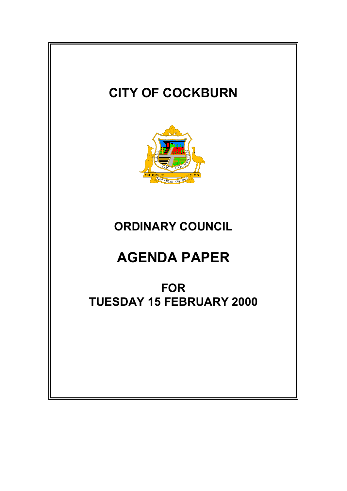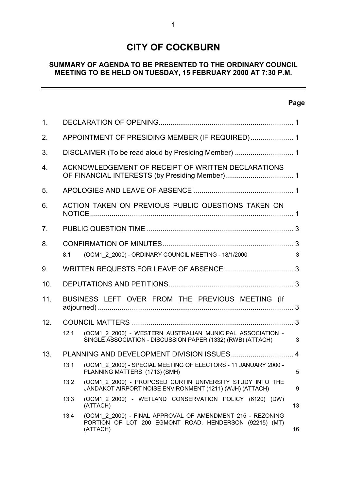# **CITY OF COCKBURN**

### **SUMMARY OF AGENDA TO BE PRESENTED TO THE ORDINARY COUNCIL MEETING TO BE HELD ON TUESDAY, 15 FEBRUARY 2000 AT 7:30 P.M.**

# **Page**

 $\overline{\phantom{0}}$ 

| 1 <sub>1</sub> |      |                                                                                                                                  |    |
|----------------|------|----------------------------------------------------------------------------------------------------------------------------------|----|
| 2.             |      | APPOINTMENT OF PRESIDING MEMBER (IF REQUIRED) 1                                                                                  |    |
| 3.             |      |                                                                                                                                  |    |
| 4.             |      | ACKNOWLEDGEMENT OF RECEIPT OF WRITTEN DECLARATIONS                                                                               |    |
| 5.             |      |                                                                                                                                  |    |
| 6.             |      | ACTION TAKEN ON PREVIOUS PUBLIC QUESTIONS TAKEN ON                                                                               |    |
| 7.             |      |                                                                                                                                  |    |
| 8.             | 8.1  | (OCM1 2 2000) - ORDINARY COUNCIL MEETING - 18/1/2000                                                                             | 3  |
| 9.             |      |                                                                                                                                  |    |
| 10.            |      |                                                                                                                                  |    |
| 11.            |      | BUSINESS LEFT OVER FROM THE PREVIOUS MEETING (If                                                                                 |    |
| 12.            |      |                                                                                                                                  |    |
|                | 12.1 | (OCM1 2 2000) - WESTERN AUSTRALIAN MUNICIPAL ASSOCIATION -<br>SINGLE ASSOCIATION - DISCUSSION PAPER (1332) (RWB) (ATTACH)        | 3  |
| 13.            |      |                                                                                                                                  |    |
|                | 13.1 | (OCM1 2 2000) - SPECIAL MEETING OF ELECTORS - 11 JANUARY 2000 -<br>PLANNING MATTERS (1713) (SMH)                                 | 5  |
|                | 13.2 | (OCM1 2 2000) - PROPOSED CURTIN UNIVERSITY STUDY INTO THE<br>JANDAKOT AIRPORT NOISE ENVIRONMENT (1211) (WJH) (ATTACH)            | 9  |
|                | 13.3 | (OCM1 2 2000) - WETLAND CONSERVATION POLICY (6120) (DW)<br>(ATTACH)                                                              | 13 |
|                | 13.4 | (OCM1 2 2000) - FINAL APPROVAL OF AMENDMENT 215 - REZONING<br>PORTION OF LOT 200 EGMONT ROAD, HENDERSON (92215) (MT)<br>(ATTACH) | 16 |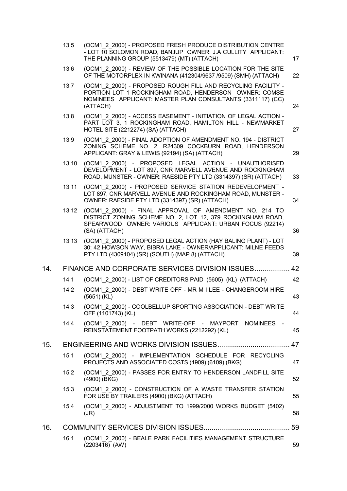|     | 13.5  | (OCM1 2 2000) - PROPOSED FRESH PRODUCE DISTRIBUTION CENTRE<br>- LOT 10 SOLOMON ROAD, BANJUP OWNER: J.A CULLITY APPLICANT:<br>THE PLANNING GROUP (5513479) (MT) (ATTACH)                          | 17 |
|-----|-------|--------------------------------------------------------------------------------------------------------------------------------------------------------------------------------------------------|----|
|     | 13.6  | (OCM1 2 2000) - REVIEW OF THE POSSIBLE LOCATION FOR THE SITE<br>OF THE MOTORPLEX IN KWINANA (412304/9637 /9509) (SMH) (ATTACH)                                                                   | 22 |
|     | 13.7  | (OCM1 2 2000) - PROPOSED ROUGH FILL AND RECYCLING FACILITY -<br>PORTION LOT 1 ROCKINGHAM ROAD, HENDERSON OWNER: COMSE<br>NOMINEES APPLICANT: MASTER PLAN CONSULTANTS (3311117) (CC)<br>(ATTACH)  | 24 |
|     | 13.8  | (OCM1 2 2000) - ACCESS EASEMENT - INITIATION OF LEGAL ACTION -<br>PART LOT 3, 1 ROCKINGHAM ROAD, HAMILTON HILL - NEWMARKET<br>HOTEL SITE (2212274) (SA) (ATTACH)                                 | 27 |
|     | 13.9  | (OCM1 2 2000) - FINAL ADOPTION OF AMENDMENT NO. 194 - DISTRICT<br>ZONING SCHEME NO. 2, R24309 COCKBURN ROAD, HENDERSON<br>APPLICANT: GRAY & LEWIS (92194) (SA) (ATTACH)                          | 29 |
|     | 13.10 | (OCM1 2 2000) - PROPOSED LEGAL ACTION - UNAUTHORISED<br>DEVELOPMENT - LOT 897, CNR MARVELL AVENUE AND ROCKINGHAM<br>ROAD, MUNSTER - OWNER: RAESIDE PTY LTD (3314397) (SR) (ATTACH)               | 33 |
|     | 13.11 | (OCM1 2 2000) - PROPOSED SERVICE STATION REDEVELOPMENT -<br>LOT 897, CNR MARVELL AVENUE AND ROCKINGHAM ROAD, MUNSTER -<br>OWNER: RAESIDE PTY LTD (3314397) (SR) (ATTACH)                         | 34 |
|     | 13.12 | (OCM1 2 2000) - FINAL APPROVAL OF AMENDMENT NO. 214 TO<br>DISTRICT ZONING SCHEME NO. 2, LOT 12, 379 ROCKINGHAM ROAD,<br>SPEARWOOD OWNER: VARIOUS APPLICANT: URBAN FOCUS (92214)<br>(SA) (ATTACH) | 36 |
|     | 13.13 | (OCM1 2 2000) - PROPOSED LEGAL ACTION (HAY BALING PLANT) - LOT<br>30; 42 HOWSON WAY, BIBRA LAKE - OWNER/APPLICANT: MILNE FEEDS<br>PTY LTD (4309104) (SR) (SOUTH) (MAP 8) (ATTACH)                | 39 |
| 14. |       | FINANCE AND CORPORATE SERVICES DIVISION ISSUES                                                                                                                                                   | 42 |
|     | 14.1  | (OCM1 2 2000) - LIST OF CREDITORS PAID (5605) (KL) (ATTACH)                                                                                                                                      | 42 |
|     | 14.2  | (OCM1 2 2000) - DEBT WRITE OFF - MR M I LEE - CHANGEROOM HIRE<br>$(5651)$ (KL)                                                                                                                   | 43 |
|     | 14.3  | (OCM1_2_2000) - COOLBELLUP SPORTING ASSOCIATION - DEBT WRITE<br>OFF (1101743) (KL)                                                                                                               | 44 |
|     | 14.4  | (OCM1 2 2000) - DEBT WRITE-OFF - MAYPORT NOMINEES -<br>REINSTATEMENT FOOTPATH WORKS (2212292) (KL)                                                                                               | 45 |
| 15. |       |                                                                                                                                                                                                  | 47 |
|     | 15.1  | (OCM1 2 2000) - IMPLEMENTATION SCHEDULE FOR RECYCLING<br>PROJECTS AND ASSOCIATED COSTS (4909) (6109) (BKG)                                                                                       | 47 |
|     | 15.2  | (OCM1 2 2000) - PASSES FOR ENTRY TO HENDERSON LANDFILL SITE<br>(4900) (BKG)                                                                                                                      | 52 |
|     | 15.3  | (OCM1 2 2000) - CONSTRUCTION OF A WASTE TRANSFER STATION<br>FOR USE BY TRAILERS (4900) (BKG) (ATTACH)                                                                                            | 55 |
|     | 15.4  | (OCM1 2 2000) - ADJUSTMENT TO 1999/2000 WORKS BUDGET (5402)<br>(JR)                                                                                                                              | 58 |
| 16. |       |                                                                                                                                                                                                  | 59 |
|     | 16.1  | (OCM1 2 2000) - BEALE PARK FACILITIES MANAGEMENT STRUCTURE<br>$(2203416)$ (AW)                                                                                                                   | 59 |
|     |       |                                                                                                                                                                                                  |    |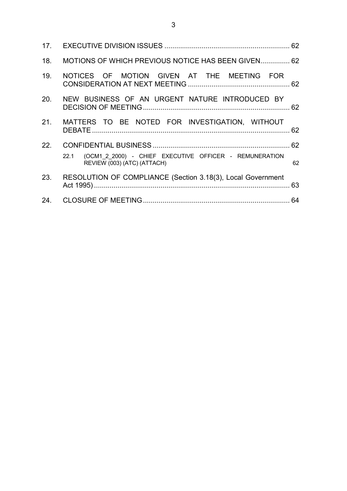| 18. | MOTIONS OF WHICH PREVIOUS NOTICE HAS BEEN GIVEN 62                                         |    |
|-----|--------------------------------------------------------------------------------------------|----|
| 19. | NOTICES OF MOTION GIVEN AT THE MEETING FOR                                                 |    |
|     | 20. NEW BUSINESS OF AN URGENT NATURE INTRODUCED BY                                         |    |
|     | 21. MATTERS TO BE NOTED FOR INVESTIGATION, WITHOUT                                         |    |
|     |                                                                                            |    |
|     | 22.1 (OCM1_2_2000) - CHIEF EXECUTIVE OFFICER - REMUNERATION<br>REVIEW (003) (ATC) (ATTACH) | 62 |
| 23. | RESOLUTION OF COMPLIANCE (Section 3.18(3), Local Government                                |    |
|     |                                                                                            |    |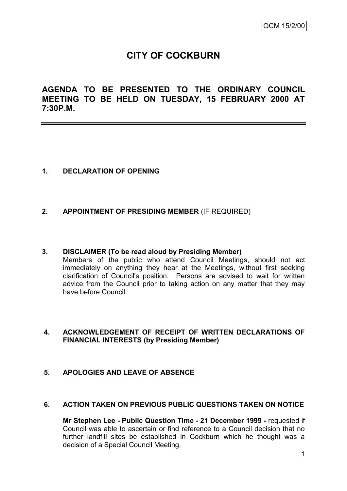# **CITY OF COCKBURN**

**AGENDA TO BE PRESENTED TO THE ORDINARY COUNCIL MEETING TO BE HELD ON TUESDAY, 15 FEBRUARY 2000 AT 7:30P.M.**

# **1. DECLARATION OF OPENING**

### **2. APPOINTMENT OF PRESIDING MEMBER** (IF REQUIRED)

#### **3. DISCLAIMER (To be read aloud by Presiding Member)**

Members of the public who attend Council Meetings, should not act immediately on anything they hear at the Meetings, without first seeking clarification of Council's position. Persons are advised to wait for written advice from the Council prior to taking action on any matter that they may have before Council.

# **4. ACKNOWLEDGEMENT OF RECEIPT OF WRITTEN DECLARATIONS OF FINANCIAL INTERESTS (by Presiding Member)**

### **5. APOLOGIES AND LEAVE OF ABSENCE**

### **6. ACTION TAKEN ON PREVIOUS PUBLIC QUESTIONS TAKEN ON NOTICE**

**Mr Stephen Lee - Public Question Time - 21 December 1999 -** requested if Council was able to ascertain or find reference to a Council decision that no further landfill sites be established in Cockburn which he thought was a decision of a Special Council Meeting.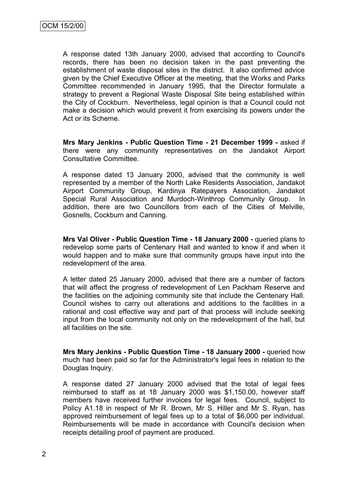A response dated 13th January 2000, advised that according to Council's records, there has been no decision taken in the past preventing the establishment of waste disposal sites in the district. It also confirmed advice given by the Chief Executive Officer at the meeting, that the Works and Parks Committee recommended in January 1995, that the Director formulate a strategy to prevent a Regional Waste Disposal Site being established within the City of Cockburn. Nevertheless, legal opinion is that a Council could not make a decision which would prevent it from exercising its powers under the Act or its Scheme.

**Mrs Mary Jenkins - Public Question Time - 21 December 1999 -** asked if there were any community representatives on the Jandakot Airport Consultative Committee.

A response dated 13 January 2000, advised that the community is well represented by a member of the North Lake Residents Association, Jandakot Airport Community Group, Kardinya Ratepayers Association, Jandakot Special Rural Association and Murdoch-Winthrop Community Group. In addition, there are two Councillors from each of the Cities of Melville, Gosnells, Cockburn and Canning.

**Mrs Val Oliver - Public Question Time - 18 January 2000 -** queried plans to redevelop some parts of Centenary Hall and wanted to know if and when it would happen and to make sure that community groups have input into the redevelopment of the area.

A letter dated 25 January 2000, advised that there are a number of factors that will affect the progress of redevelopment of Len Packham Reserve and the facilities on the adjoining community site that include the Centenary Hall. Council wishes to carry out alterations and additions to the facilities in a rational and cost effective way and part of that process will include seeking input from the local community not only on the redevelopment of the hall, but all facilities on the site.

**Mrs Mary Jenkins - Public Question Time - 18 January 2000 -** queried how much had been paid so far for the Administrator's legal fees in relation to the Douglas Inquiry.

A response dated 27 January 2000 advised that the total of legal fees reimbursed to staff as at 18 January 2000 was \$1,150.00, however staff members have received further invoices for legal fees. Council, subject to Policy A1.18 in respect of Mr R. Brown, Mr S. Hiller and Mr S. Ryan, has approved reimbursement of legal fees up to a total of \$6,000 per individual. Reimbursements will be made in accordance with Council's decision when receipts detailing proof of payment are produced.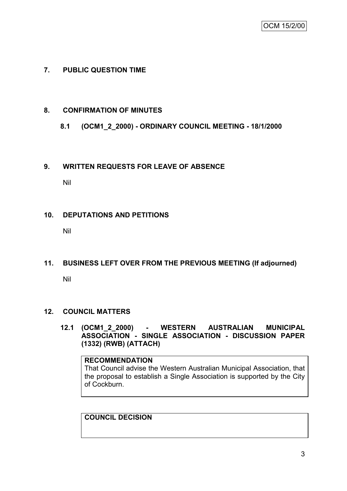# **7. PUBLIC QUESTION TIME**

### **8. CONFIRMATION OF MINUTES**

# **8.1 (OCM1\_2\_2000) - ORDINARY COUNCIL MEETING - 18/1/2000**

### **9. WRITTEN REQUESTS FOR LEAVE OF ABSENCE**

Nil

### **10. DEPUTATIONS AND PETITIONS**

Nil

# **11. BUSINESS LEFT OVER FROM THE PREVIOUS MEETING (If adjourned)**

Nil

### **12. COUNCIL MATTERS**

**12.1 (OCM1\_2\_2000) - WESTERN AUSTRALIAN MUNICIPAL ASSOCIATION - SINGLE ASSOCIATION - DISCUSSION PAPER (1332) (RWB) (ATTACH)**

**RECOMMENDATION** That Council advise the Western Australian Municipal Association, that the proposal to establish a Single Association is supported by the City of Cockburn.

**COUNCIL DECISION**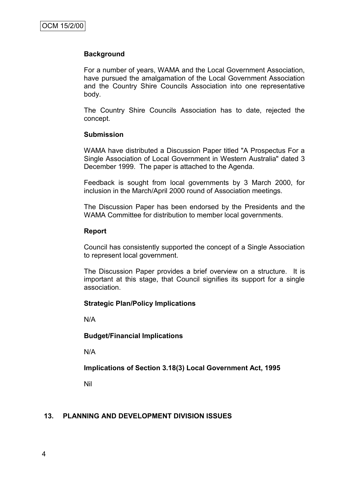#### **Background**

For a number of years, WAMA and the Local Government Association, have pursued the amalgamation of the Local Government Association and the Country Shire Councils Association into one representative body.

The Country Shire Councils Association has to date, rejected the concept.

#### **Submission**

WAMA have distributed a Discussion Paper titled "A Prospectus For a Single Association of Local Government in Western Australia" dated 3 December 1999. The paper is attached to the Agenda.

Feedback is sought from local governments by 3 March 2000, for inclusion in the March/April 2000 round of Association meetings.

The Discussion Paper has been endorsed by the Presidents and the WAMA Committee for distribution to member local governments.

#### **Report**

Council has consistently supported the concept of a Single Association to represent local government.

The Discussion Paper provides a brief overview on a structure. It is important at this stage, that Council signifies its support for a single association.

### **Strategic Plan/Policy Implications**

N/A

### **Budget/Financial Implications**

N/A

**Implications of Section 3.18(3) Local Government Act, 1995**

Nil

### **13. PLANNING AND DEVELOPMENT DIVISION ISSUES**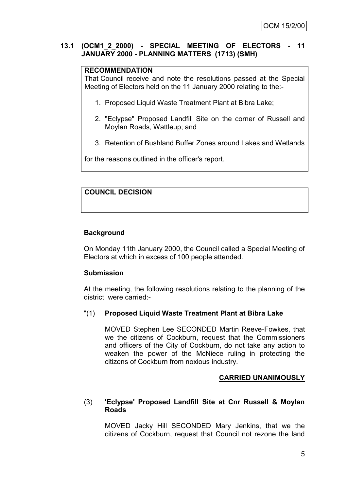### **13.1 (OCM1\_2\_2000) - SPECIAL MEETING OF ELECTORS - 11 JANUARY 2000 - PLANNING MATTERS (1713) (SMH)**

### **RECOMMENDATION**

That Council receive and note the resolutions passed at the Special Meeting of Electors held on the 11 January 2000 relating to the:-

- 1. Proposed Liquid Waste Treatment Plant at Bibra Lake;
- 2. "Eclypse" Proposed Landfill Site on the corner of Russell and Moylan Roads, Wattleup; and
- 3. Retention of Bushland Buffer Zones around Lakes and Wetlands

for the reasons outlined in the officer's report.

### **COUNCIL DECISION**

### **Background**

On Monday 11th January 2000, the Council called a Special Meeting of Electors at which in excess of 100 people attended.

### **Submission**

At the meeting, the following resolutions relating to the planning of the district were carried:-

### "(1) **Proposed Liquid Waste Treatment Plant at Bibra Lake**

MOVED Stephen Lee SECONDED Martin Reeve-Fowkes, that we the citizens of Cockburn, request that the Commissioners and officers of the City of Cockburn, do not take any action to weaken the power of the McNiece ruling in protecting the citizens of Cockburn from noxious industry.

### **CARRIED UNANIMOUSLY**

### (3) **'Eclypse' Proposed Landfill Site at Cnr Russell & Moylan Roads**

MOVED Jacky Hill SECONDED Mary Jenkins, that we the citizens of Cockburn, request that Council not rezone the land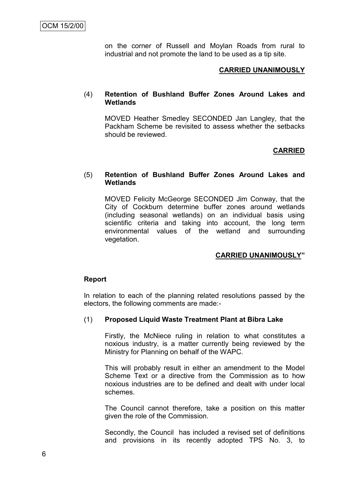on the corner of Russell and Moylan Roads from rural to industrial and not promote the land to be used as a tip site.

### **CARRIED UNANIMOUSLY**

### (4) **Retention of Bushland Buffer Zones Around Lakes and Wetlands**

MOVED Heather Smedley SECONDED Jan Langley, that the Packham Scheme be revisited to assess whether the setbacks should be reviewed.

#### **CARRIED**

#### (5) **Retention of Bushland Buffer Zones Around Lakes and Wetlands**

MOVED Felicity McGeorge SECONDED Jim Conway, that the City of Cockburn determine buffer zones around wetlands (including seasonal wetlands) on an individual basis using scientific criteria and taking into account, the long term environmental values of the wetland and surrounding vegetation.

### **CARRIED UNANIMOUSLY"**

#### **Report**

In relation to each of the planning related resolutions passed by the electors, the following comments are made:-

### (1) **Proposed Liquid Waste Treatment Plant at Bibra Lake**

Firstly, the McNiece ruling in relation to what constitutes a noxious industry, is a matter currently being reviewed by the Ministry for Planning on behalf of the WAPC.

This will probably result in either an amendment to the Model Scheme Text or a directive from the Commission as to how noxious industries are to be defined and dealt with under local schemes.

The Council cannot therefore, take a position on this matter given the role of the Commission.

Secondly, the Council has included a revised set of definitions and provisions in its recently adopted TPS No. 3, to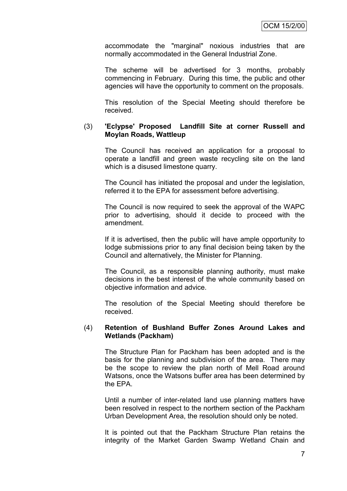accommodate the "marginal" noxious industries that are normally accommodated in the General Industrial Zone.

The scheme will be advertised for 3 months, probably commencing in February. During this time, the public and other agencies will have the opportunity to comment on the proposals.

This resolution of the Special Meeting should therefore be received.

#### (3) **'Eclypse' Proposed Landfill Site at corner Russell and Moylan Roads, Wattleup**

The Council has received an application for a proposal to operate a landfill and green waste recycling site on the land which is a disused limestone quarry.

The Council has initiated the proposal and under the legislation, referred it to the EPA for assessment before advertising.

The Council is now required to seek the approval of the WAPC prior to advertising, should it decide to proceed with the amendment.

If it is advertised, then the public will have ample opportunity to lodge submissions prior to any final decision being taken by the Council and alternatively, the Minister for Planning.

The Council, as a responsible planning authority, must make decisions in the best interest of the whole community based on objective information and advice.

The resolution of the Special Meeting should therefore be received.

#### (4) **Retention of Bushland Buffer Zones Around Lakes and Wetlands (Packham)**

The Structure Plan for Packham has been adopted and is the basis for the planning and subdivision of the area. There may be the scope to review the plan north of Mell Road around Watsons, once the Watsons buffer area has been determined by the EPA.

Until a number of inter-related land use planning matters have been resolved in respect to the northern section of the Packham Urban Development Area, the resolution should only be noted.

It is pointed out that the Packham Structure Plan retains the integrity of the Market Garden Swamp Wetland Chain and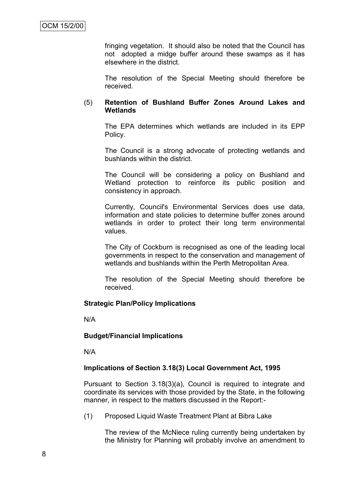fringing vegetation. It should also be noted that the Council has not adopted a midge buffer around these swamps as it has elsewhere in the district.

The resolution of the Special Meeting should therefore be received.

### (5) **Retention of Bushland Buffer Zones Around Lakes and Wetlands**

The EPA determines which wetlands are included in its EPP Policy.

The Council is a strong advocate of protecting wetlands and bushlands within the district.

The Council will be considering a policy on Bushland and Wetland protection to reinforce its public position and consistency in approach.

Currently, Council's Environmental Services does use data, information and state policies to determine buffer zones around wetlands in order to protect their long term environmental values.

The City of Cockburn is recognised as one of the leading local governments in respect to the conservation and management of wetlands and bushlands within the Perth Metropolitan Area.

The resolution of the Special Meeting should therefore be received.

### **Strategic Plan/Policy Implications**

N/A

### **Budget/Financial Implications**

N/A

### **Implications of Section 3.18(3) Local Government Act, 1995**

Pursuant to Section 3.18(3)(a), Council is required to integrate and coordinate its services with those provided by the State, in the following manner, in respect to the matters discussed in the Report:-

(1) Proposed Liquid Waste Treatment Plant at Bibra Lake

The review of the McNiece ruling currently being undertaken by the Ministry for Planning will probably involve an amendment to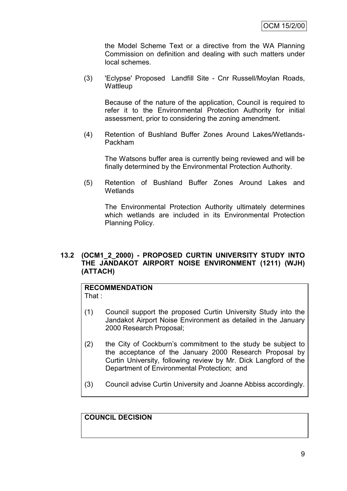the Model Scheme Text or a directive from the WA Planning Commission on definition and dealing with such matters under local schemes.

(3) 'Eclypse' Proposed Landfill Site - Cnr Russell/Moylan Roads, **Wattleup** 

Because of the nature of the application, Council is required to refer it to the Environmental Protection Authority for initial assessment, prior to considering the zoning amendment.

(4) Retention of Bushland Buffer Zones Around Lakes/Wetlands-Packham

The Watsons buffer area is currently being reviewed and will be finally determined by the Environmental Protection Authority.

(5) Retention of Bushland Buffer Zones Around Lakes and **Wetlands** 

The Environmental Protection Authority ultimately determines which wetlands are included in its Environmental Protection Planning Policy.

### **13.2 (OCM1\_2\_2000) - PROPOSED CURTIN UNIVERSITY STUDY INTO THE JANDAKOT AIRPORT NOISE ENVIRONMENT (1211) (WJH) (ATTACH)**

#### **RECOMMENDATION** That :

- (1) Council support the proposed Curtin University Study into the Jandakot Airport Noise Environment as detailed in the January 2000 Research Proposal;
- (2) the City of Cockburn"s commitment to the study be subject to the acceptance of the January 2000 Research Proposal by Curtin University, following review by Mr. Dick Langford of the Department of Environmental Protection; and
- (3) Council advise Curtin University and Joanne Abbiss accordingly.

**COUNCIL DECISION**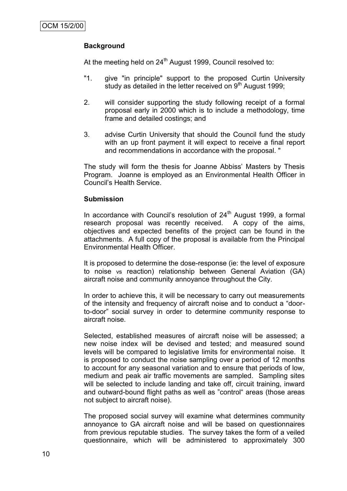# **Background**

At the meeting held on  $24<sup>th</sup>$  August 1999, Council resolved to:

- "1. give "in principle" support to the proposed Curtin University study as detailed in the letter received on 9<sup>th</sup> August 1999;
- 2. will consider supporting the study following receipt of a formal proposal early in 2000 which is to include a methodology, time frame and detailed costings; and
- 3. advise Curtin University that should the Council fund the study with an up front payment it will expect to receive a final report and recommendations in accordance with the proposal. "

The study will form the thesis for Joanne Abbiss" Masters by Thesis Program. Joanne is employed as an Environmental Health Officer in Council"s Health Service.

### **Submission**

In accordance with Council's resolution of  $24<sup>th</sup>$  August 1999, a formal research proposal was recently received. A copy of the aims, objectives and expected benefits of the project can be found in the attachments. A full copy of the proposal is available from the Principal Environmental Health Officer.

It is proposed to determine the dose-response (ie: the level of exposure to noise vs reaction) relationship between General Aviation (GA) aircraft noise and community annoyance throughout the City.

In order to achieve this, it will be necessary to carry out measurements of the intensity and frequency of aircraft noise and to conduct a "doorto-door" social survey in order to determine community response to aircraft noise.

Selected, established measures of aircraft noise will be assessed; a new noise index will be devised and tested; and measured sound levels will be compared to legislative limits for environmental noise. It is proposed to conduct the noise sampling over a period of 12 months to account for any seasonal variation and to ensure that periods of low, medium and peak air traffic movements are sampled. Sampling sites will be selected to include landing and take off, circuit training, inward and outward-bound flight paths as well as "control" areas (those areas not subject to aircraft noise).

The proposed social survey will examine what determines community annoyance to GA aircraft noise and will be based on questionnaires from previous reputable studies. The survey takes the form of a veiled questionnaire, which will be administered to approximately 300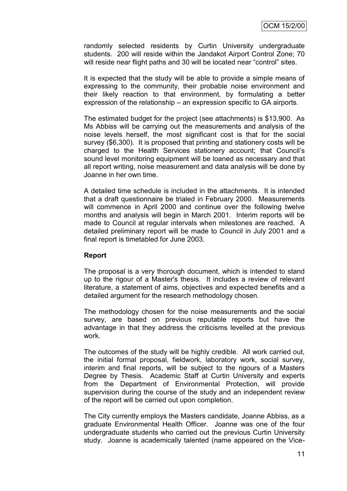randomly selected residents by Curtin University undergraduate students. 200 will reside within the Jandakot Airport Control Zone; 70 will reside near flight paths and 30 will be located near "control" sites.

It is expected that the study will be able to provide a simple means of expressing to the community, their probable noise environment and their likely reaction to that environment, by formulating a better expression of the relationship – an expression specific to GA airports.

The estimated budget for the project (see attachments) is \$13,900. As Ms Abbiss will be carrying out the measurements and analysis of the noise levels herself, the most significant cost is that for the social survey (\$6,300). It is proposed that printing and stationery costs will be charged to the Health Services stationery account; that Council"s sound level monitoring equipment will be loaned as necessary and that all report writing, noise measurement and data analysis will be done by Joanne in her own time.

A detailed time schedule is included in the attachments. It is intended that a draft questionnaire be trialed in February 2000. Measurements will commence in April 2000 and continue over the following twelve months and analysis will begin in March 2001. Interim reports will be made to Council at regular intervals when milestones are reached. A detailed preliminary report will be made to Council in July 2001 and a final report is timetabled for June 2003.

### **Report**

The proposal is a very thorough document, which is intended to stand up to the rigour of a Master's thesis. It includes a review of relevant literature, a statement of aims, objectives and expected benefits and a detailed argument for the research methodology chosen.

The methodology chosen for the noise measurements and the social survey, are based on previous reputable reports but have the advantage in that they address the criticisms levelled at the previous work.

The outcomes of the study will be highly credible. All work carried out, the initial formal proposal, fieldwork, laboratory work, social survey, interim and final reports, will be subject to the rigours of a Masters Degree by Thesis. Academic Staff at Curtin University and experts from the Department of Environmental Protection, will provide supervision during the course of the study and an independent review of the report will be carried out upon completion.

The City currently employs the Masters candidate, Joanne Abbiss, as a graduate Environmental Health Officer. Joanne was one of the four undergraduate students who carried out the previous Curtin University study. Joanne is academically talented (name appeared on the Vice-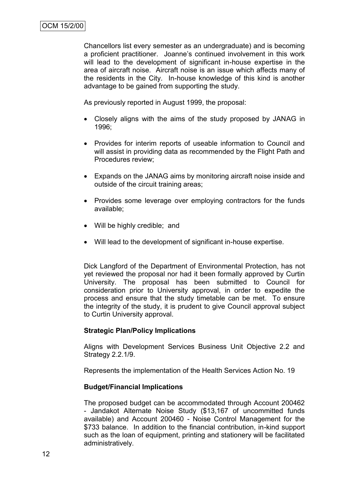Chancellors list every semester as an undergraduate) and is becoming a proficient practitioner. Joanne"s continued involvement in this work will lead to the development of significant in-house expertise in the area of aircraft noise. Aircraft noise is an issue which affects many of the residents in the City. In-house knowledge of this kind is another advantage to be gained from supporting the study.

As previously reported in August 1999, the proposal:

- Closely aligns with the aims of the study proposed by JANAG in 1996;
- Provides for interim reports of useable information to Council and will assist in providing data as recommended by the Flight Path and Procedures review;
- Expands on the JANAG aims by monitoring aircraft noise inside and outside of the circuit training areas;
- Provides some leverage over employing contractors for the funds available;
- Will be highly credible; and
- Will lead to the development of significant in-house expertise.

Dick Langford of the Department of Environmental Protection, has not yet reviewed the proposal nor had it been formally approved by Curtin University. The proposal has been submitted to Council for consideration prior to University approval, in order to expedite the process and ensure that the study timetable can be met. To ensure the integrity of the study, it is prudent to give Council approval subject to Curtin University approval.

### **Strategic Plan/Policy Implications**

Aligns with Development Services Business Unit Objective 2.2 and Strategy 2.2.1/9.

Represents the implementation of the Health Services Action No. 19

### **Budget/Financial Implications**

The proposed budget can be accommodated through Account 200462 - Jandakot Alternate Noise Study (\$13,167 of uncommitted funds available) and Account 200460 - Noise Control Management for the \$733 balance. In addition to the financial contribution, in-kind support such as the loan of equipment, printing and stationery will be facilitated administratively.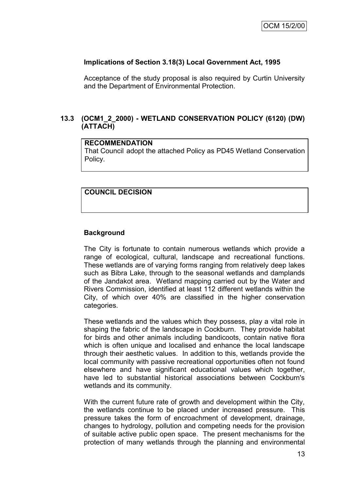### **Implications of Section 3.18(3) Local Government Act, 1995**

Acceptance of the study proposal is also required by Curtin University and the Department of Environmental Protection.

# **13.3 (OCM1\_2\_2000) - WETLAND CONSERVATION POLICY (6120) (DW) (ATTACH)**

### **RECOMMENDATION**

That Council adopt the attached Policy as PD45 Wetland Conservation Policy.

### **COUNCIL DECISION**

# **Background**

The City is fortunate to contain numerous wetlands which provide a range of ecological, cultural, landscape and recreational functions. These wetlands are of varying forms ranging from relatively deep lakes such as Bibra Lake, through to the seasonal wetlands and damplands of the Jandakot area. Wetland mapping carried out by the Water and Rivers Commission, identified at least 112 different wetlands within the City, of which over 40% are classified in the higher conservation categories.

These wetlands and the values which they possess, play a vital role in shaping the fabric of the landscape in Cockburn. They provide habitat for birds and other animals including bandicoots, contain native flora which is often unique and localised and enhance the local landscape through their aesthetic values. In addition to this, wetlands provide the local community with passive recreational opportunities often not found elsewhere and have significant educational values which together, have led to substantial historical associations between Cockburn's wetlands and its community.

With the current future rate of growth and development within the City, the wetlands continue to be placed under increased pressure. This pressure takes the form of encroachment of development, drainage, changes to hydrology, pollution and competing needs for the provision of suitable active public open space. The present mechanisms for the protection of many wetlands through the planning and environmental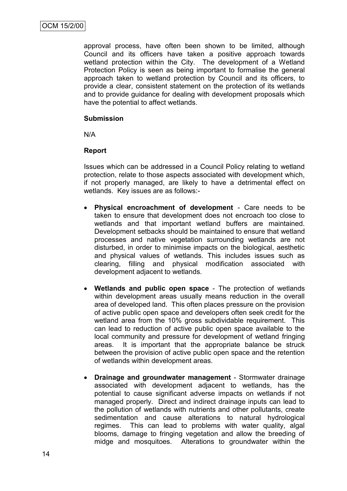approval process, have often been shown to be limited, although Council and its officers have taken a positive approach towards wetland protection within the City. The development of a Wetland Protection Policy is seen as being important to formalise the general approach taken to wetland protection by Council and its officers, to provide a clear, consistent statement on the protection of its wetlands and to provide guidance for dealing with development proposals which have the potential to affect wetlands.

### **Submission**

N/A

### **Report**

Issues which can be addressed in a Council Policy relating to wetland protection, relate to those aspects associated with development which, if not properly managed, are likely to have a detrimental effect on wetlands. Key issues are as follows:-

- **Physical encroachment of development** Care needs to be taken to ensure that development does not encroach too close to wetlands and that important wetland buffers are maintained. Development setbacks should be maintained to ensure that wetland processes and native vegetation surrounding wetlands are not disturbed, in order to minimise impacts on the biological, aesthetic and physical values of wetlands. This includes issues such as clearing, filling and physical modification associated with development adjacent to wetlands.
- **Wetlands and public open space** The protection of wetlands within development areas usually means reduction in the overall area of developed land. This often places pressure on the provision of active public open space and developers often seek credit for the wetland area from the 10% gross subdividable requirement. This can lead to reduction of active public open space available to the local community and pressure for development of wetland fringing areas. It is important that the appropriate balance be struck between the provision of active public open space and the retention of wetlands within development areas.
- **Drainage and groundwater management** Stormwater drainage associated with development adjacent to wetlands, has the potential to cause significant adverse impacts on wetlands if not managed properly. Direct and indirect drainage inputs can lead to the pollution of wetlands with nutrients and other pollutants, create sedimentation and cause alterations to natural hydrological regimes. This can lead to problems with water quality, algal blooms, damage to fringing vegetation and allow the breeding of midge and mosquitoes. Alterations to groundwater within the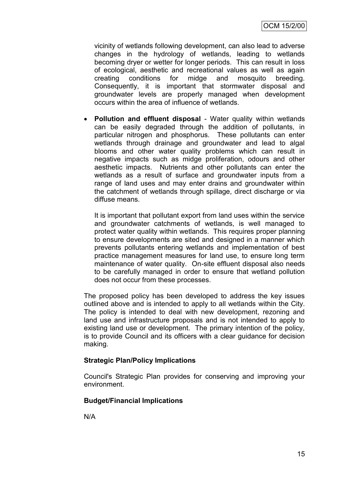vicinity of wetlands following development, can also lead to adverse changes in the hydrology of wetlands, leading to wetlands becoming dryer or wetter for longer periods. This can result in loss of ecological, aesthetic and recreational values as well as again creating conditions for midge and mosquito breeding. Consequently, it is important that stormwater disposal and groundwater levels are properly managed when development occurs within the area of influence of wetlands.

 **Pollution and effluent disposal** - Water quality within wetlands can be easily degraded through the addition of pollutants, in particular nitrogen and phosphorus. These pollutants can enter wetlands through drainage and groundwater and lead to algal blooms and other water quality problems which can result in negative impacts such as midge proliferation, odours and other aesthetic impacts. Nutrients and other pollutants can enter the wetlands as a result of surface and groundwater inputs from a range of land uses and may enter drains and groundwater within the catchment of wetlands through spillage, direct discharge or via diffuse means.

It is important that pollutant export from land uses within the service and groundwater catchments of wetlands, is well managed to protect water quality within wetlands. This requires proper planning to ensure developments are sited and designed in a manner which prevents pollutants entering wetlands and implementation of best practice management measures for land use, to ensure long term maintenance of water quality. On-site effluent disposal also needs to be carefully managed in order to ensure that wetland pollution does not occur from these processes.

The proposed policy has been developed to address the key issues outlined above and is intended to apply to all wetlands within the City. The policy is intended to deal with new development, rezoning and land use and infrastructure proposals and is not intended to apply to existing land use or development. The primary intention of the policy, is to provide Council and its officers with a clear guidance for decision making.

# **Strategic Plan/Policy Implications**

Council's Strategic Plan provides for conserving and improving your environment.

# **Budget/Financial Implications**

N/A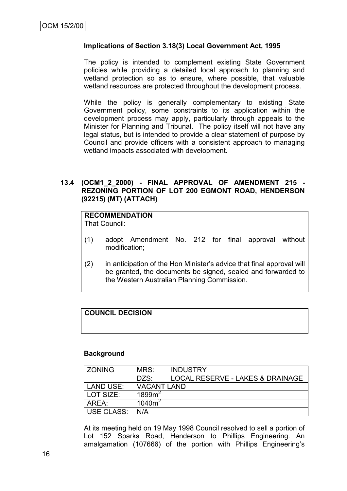### **Implications of Section 3.18(3) Local Government Act, 1995**

The policy is intended to complement existing State Government policies while providing a detailed local approach to planning and wetland protection so as to ensure, where possible, that valuable wetland resources are protected throughout the development process.

While the policy is generally complementary to existing State Government policy, some constraints to its application within the development process may apply, particularly through appeals to the Minister for Planning and Tribunal. The policy itself will not have any legal status, but is intended to provide a clear statement of purpose by Council and provide officers with a consistent approach to managing wetland impacts associated with development.

### **13.4 (OCM1\_2\_2000) - FINAL APPROVAL OF AMENDMENT 215 - REZONING PORTION OF LOT 200 EGMONT ROAD, HENDERSON (92215) (MT) (ATTACH)**

# **RECOMMENDATION**

That Council:

- (1) adopt Amendment No. 212 for final approval without modification;
- (2) in anticipation of the Hon Minister"s advice that final approval will be granted, the documents be signed, sealed and forwarded to the Western Australian Planning Commission.

### **COUNCIL DECISION**

#### **Background**

| <b>ZONING</b>    | MRS:               | <b>INDUSTRY</b>                  |
|------------------|--------------------|----------------------------------|
|                  | DZS:               | LOCAL RESERVE - LAKES & DRAINAGE |
| <b>LAND USE:</b> | <b>VACANT LAND</b> |                                  |
| LOT SIZE:        | 1899 <sup>2</sup>  |                                  |
| ARFA:            | $1040m^2$          |                                  |
| USE CLASS:       | N/A                |                                  |

At its meeting held on 19 May 1998 Council resolved to sell a portion of Lot 152 Sparks Road, Henderson to Phillips Engineering. An amalgamation (107666) of the portion with Phillips Engineering"s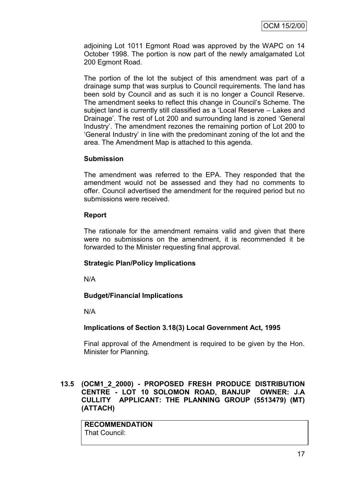adjoining Lot 1011 Egmont Road was approved by the WAPC on 14 October 1998. The portion is now part of the newly amalgamated Lot 200 Egmont Road.

The portion of the lot the subject of this amendment was part of a drainage sump that was surplus to Council requirements. The land has been sold by Council and as such it is no longer a Council Reserve. The amendment seeks to reflect this change in Council"s Scheme. The subject land is currently still classified as a "Local Reserve – Lakes and Drainage". The rest of Lot 200 and surrounding land is zoned "General Industry". The amendment rezones the remaining portion of Lot 200 to "General Industry" in line with the predominant zoning of the lot and the area. The Amendment Map is attached to this agenda.

### **Submission**

The amendment was referred to the EPA. They responded that the amendment would not be assessed and they had no comments to offer. Council advertised the amendment for the required period but no submissions were received.

### **Report**

The rationale for the amendment remains valid and given that there were no submissions on the amendment, it is recommended it be forwarded to the Minister requesting final approval.

# **Strategic Plan/Policy Implications**

N/A

# **Budget/Financial Implications**

N/A

# **Implications of Section 3.18(3) Local Government Act, 1995**

Final approval of the Amendment is required to be given by the Hon. Minister for Planning.

**13.5 (OCM1\_2\_2000) - PROPOSED FRESH PRODUCE DISTRIBUTION CENTRE - LOT 10 SOLOMON ROAD, BANJUP OWNER: J.A CULLITY APPLICANT: THE PLANNING GROUP (5513479) (MT) (ATTACH)**

**RECOMMENDATION** That Council: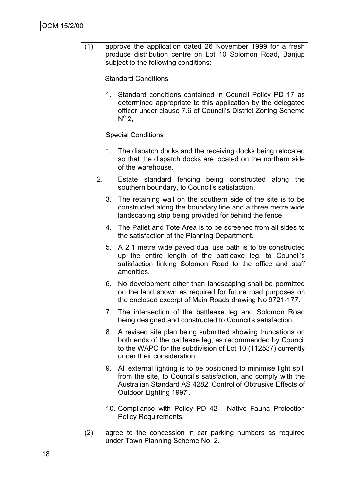(1) approve the application dated 26 November 1999 for a fresh produce distribution centre on Lot 10 Solomon Road, Banjup subject to the following conditions:

Standard Conditions

1. Standard conditions contained in Council Policy PD 17 as determined appropriate to this application by the delegated officer under clause 7.6 of Council"s District Zoning Scheme  $N^{\circ}$  2;

Special Conditions

- 1. The dispatch docks and the receiving docks being relocated so that the dispatch docks are located on the northern side of the warehouse.
- 2. Estate standard fencing being constructed along the southern boundary, to Council's satisfaction.
	- 3. The retaining wall on the southern side of the site is to be constructed along the boundary line and a three metre wide landscaping strip being provided for behind the fence.
	- 4. The Pallet and Tote Area is to be screened from all sides to the satisfaction of the Planning Department.
	- 5. A 2.1 metre wide paved dual use path is to be constructed up the entire length of the battleaxe leg, to Council"s satisfaction linking Solomon Road to the office and staff amenities.
	- 6. No development other than landscaping shall be permitted on the land shown as required for future road purposes on the enclosed excerpt of Main Roads drawing No 9721-177.
	- 7. The intersection of the battleaxe leg and Solomon Road being designed and constructed to Council"s satisfaction.
	- 8. A revised site plan being submitted showing truncations on both ends of the battleaxe leg, as recommended by Council to the WAPC for the subdivision of Lot 10 (112537) currently under their consideration.
	- 9. All external lighting is to be positioned to minimise light spill from the site, to Council"s satisfaction, and comply with the Australian Standard AS 4282 "Control of Obtrusive Effects of Outdoor Lighting 1997".
	- 10. Compliance with Policy PD 42 Native Fauna Protection Policy Requirements.
- (2) agree to the concession in car parking numbers as required under Town Planning Scheme No. 2.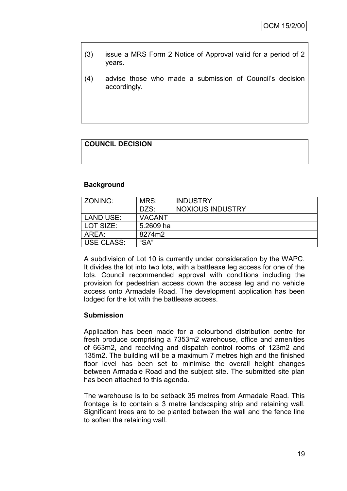- (3) issue a MRS Form 2 Notice of Approval valid for a period of 2 years.
- (4) advise those who made a submission of Council"s decision accordingly.

# **COUNCIL DECISION**

### **Background**

| ZONING:           | MRS:          | <b>INDUSTRY</b>         |
|-------------------|---------------|-------------------------|
|                   | DZS:          | <b>NOXIOUS INDUSTRY</b> |
| LAND USE:         | <b>VACANT</b> |                         |
| LOT SIZE:         | 5.2609 ha     |                         |
| AREA:             | 8274m2        |                         |
| <b>USE CLASS:</b> | "SA"          |                         |

A subdivision of Lot 10 is currently under consideration by the WAPC. It divides the lot into two lots, with a battleaxe leg access for one of the lots. Council recommended approval with conditions including the provision for pedestrian access down the access leg and no vehicle access onto Armadale Road. The development application has been lodged for the lot with the battleaxe access.

### **Submission**

Application has been made for a colourbond distribution centre for fresh produce comprising a 7353m2 warehouse, office and amenities of 663m2, and receiving and dispatch control rooms of 123m2 and 135m2. The building will be a maximum 7 metres high and the finished floor level has been set to minimise the overall height changes between Armadale Road and the subject site. The submitted site plan has been attached to this agenda.

The warehouse is to be setback 35 metres from Armadale Road. This frontage is to contain a 3 metre landscaping strip and retaining wall. Significant trees are to be planted between the wall and the fence line to soften the retaining wall.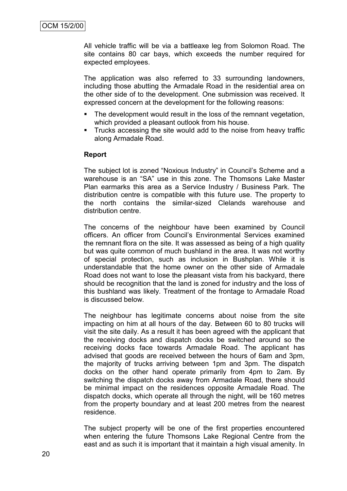All vehicle traffic will be via a battleaxe leg from Solomon Road. The site contains 80 car bays, which exceeds the number required for expected employees.

The application was also referred to 33 surrounding landowners, including those abutting the Armadale Road in the residential area on the other side of to the development. One submission was received. It expressed concern at the development for the following reasons:

- The development would result in the loss of the remnant vegetation, which provided a pleasant outlook from his house.
- **Trucks accessing the site would add to the noise from heavy traffic** along Armadale Road.

#### **Report**

The subject lot is zoned "Noxious Industry" in Council"s Scheme and a warehouse is an "SA" use in this zone. The Thomsons Lake Master Plan earmarks this area as a Service Industry / Business Park. The distribution centre is compatible with this future use. The property to the north contains the similar-sized Clelands warehouse and distribution centre.

The concerns of the neighbour have been examined by Council officers. An officer from Council"s Environmental Services examined the remnant flora on the site. It was assessed as being of a high quality but was quite common of much bushland in the area. It was not worthy of special protection, such as inclusion in Bushplan. While it is understandable that the home owner on the other side of Armadale Road does not want to lose the pleasant vista from his backyard, there should be recognition that the land is zoned for industry and the loss of this bushland was likely. Treatment of the frontage to Armadale Road is discussed below.

The neighbour has legitimate concerns about noise from the site impacting on him at all hours of the day. Between 60 to 80 trucks will visit the site daily. As a result it has been agreed with the applicant that the receiving docks and dispatch docks be switched around so the receiving docks face towards Armadale Road. The applicant has advised that goods are received between the hours of 6am and 3pm, the majority of trucks arriving between 1pm and 3pm. The dispatch docks on the other hand operate primarily from 4pm to 2am. By switching the dispatch docks away from Armadale Road, there should be minimal impact on the residences opposite Armadale Road. The dispatch docks, which operate all through the night, will be 160 metres from the property boundary and at least 200 metres from the nearest residence.

The subject property will be one of the first properties encountered when entering the future Thomsons Lake Regional Centre from the east and as such it is important that it maintain a high visual amenity. In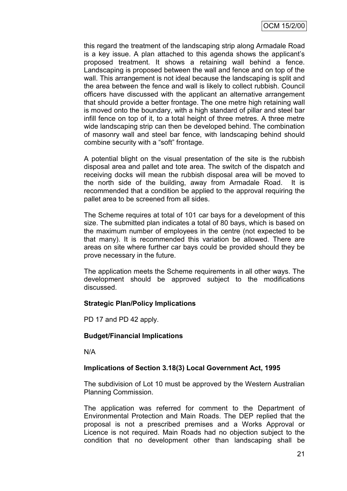this regard the treatment of the landscaping strip along Armadale Road is a key issue. A plan attached to this agenda shows the applicant"s proposed treatment. It shows a retaining wall behind a fence. Landscaping is proposed between the wall and fence and on top of the wall. This arrangement is not ideal because the landscaping is split and the area between the fence and wall is likely to collect rubbish. Council officers have discussed with the applicant an alternative arrangement that should provide a better frontage. The one metre high retaining wall is moved onto the boundary, with a high standard of pillar and steel bar infill fence on top of it, to a total height of three metres. A three metre wide landscaping strip can then be developed behind. The combination of masonry wall and steel bar fence, with landscaping behind should combine security with a "soft" frontage.

A potential blight on the visual presentation of the site is the rubbish disposal area and pallet and tote area. The switch of the dispatch and receiving docks will mean the rubbish disposal area will be moved to the north side of the building, away from Armadale Road. It is recommended that a condition be applied to the approval requiring the pallet area to be screened from all sides.

The Scheme requires at total of 101 car bays for a development of this size. The submitted plan indicates a total of 80 bays, which is based on the maximum number of employees in the centre (not expected to be that many). It is recommended this variation be allowed. There are areas on site where further car bays could be provided should they be prove necessary in the future.

The application meets the Scheme requirements in all other ways. The development should be approved subject to the modifications discussed.

### **Strategic Plan/Policy Implications**

PD 17 and PD 42 apply.

### **Budget/Financial Implications**

N/A

### **Implications of Section 3.18(3) Local Government Act, 1995**

The subdivision of Lot 10 must be approved by the Western Australian Planning Commission.

The application was referred for comment to the Department of Environmental Protection and Main Roads. The DEP replied that the proposal is not a prescribed premises and a Works Approval or Licence is not required. Main Roads had no objection subject to the condition that no development other than landscaping shall be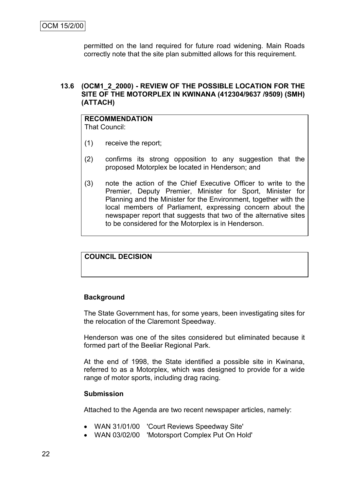permitted on the land required for future road widening. Main Roads correctly note that the site plan submitted allows for this requirement.

### **13.6 (OCM1\_2\_2000) - REVIEW OF THE POSSIBLE LOCATION FOR THE SITE OF THE MOTORPLEX IN KWINANA (412304/9637 /9509) (SMH) (ATTACH)**

### **RECOMMENDATION** That Council:

- (1) receive the report;
- (2) confirms its strong opposition to any suggestion that the proposed Motorplex be located in Henderson; and
- (3) note the action of the Chief Executive Officer to write to the Premier, Deputy Premier, Minister for Sport, Minister for Planning and the Minister for the Environment, together with the local members of Parliament, expressing concern about the newspaper report that suggests that two of the alternative sites to be considered for the Motorplex is in Henderson.

### **COUNCIL DECISION**

#### **Background**

The State Government has, for some years, been investigating sites for the relocation of the Claremont Speedway.

Henderson was one of the sites considered but eliminated because it formed part of the Beeliar Regional Park.

At the end of 1998, the State identified a possible site in Kwinana, referred to as a Motorplex, which was designed to provide for a wide range of motor sports, including drag racing.

#### **Submission**

Attached to the Agenda are two recent newspaper articles, namely:

- WAN 31/01/00 'Court Reviews Speedway Site'
- WAN 03/02/00 'Motorsport Complex Put On Hold'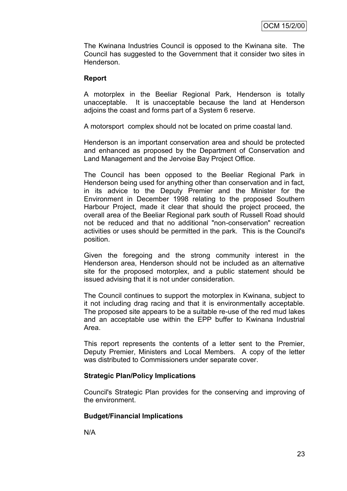The Kwinana Industries Council is opposed to the Kwinana site. The Council has suggested to the Government that it consider two sites in Henderson.

#### **Report**

A motorplex in the Beeliar Regional Park, Henderson is totally unacceptable. It is unacceptable because the land at Henderson adjoins the coast and forms part of a System 6 reserve.

A motorsport complex should not be located on prime coastal land.

Henderson is an important conservation area and should be protected and enhanced as proposed by the Department of Conservation and Land Management and the Jervoise Bay Project Office.

The Council has been opposed to the Beeliar Regional Park in Henderson being used for anything other than conservation and in fact, in its advice to the Deputy Premier and the Minister for the Environment in December 1998 relating to the proposed Southern Harbour Project, made it clear that should the project proceed, the overall area of the Beeliar Regional park south of Russell Road should not be reduced and that no additional "non-conservation" recreation activities or uses should be permitted in the park. This is the Council's position.

Given the foregoing and the strong community interest in the Henderson area, Henderson should not be included as an alternative site for the proposed motorplex, and a public statement should be issued advising that it is not under consideration.

The Council continues to support the motorplex in Kwinana, subject to it not including drag racing and that it is environmentally acceptable. The proposed site appears to be a suitable re-use of the red mud lakes and an acceptable use within the EPP buffer to Kwinana Industrial Area.

This report represents the contents of a letter sent to the Premier, Deputy Premier, Ministers and Local Members. A copy of the letter was distributed to Commissioners under separate cover.

### **Strategic Plan/Policy Implications**

Council's Strategic Plan provides for the conserving and improving of the environment.

### **Budget/Financial Implications**

N/A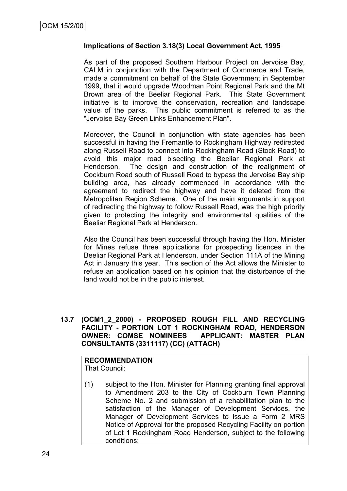### **Implications of Section 3.18(3) Local Government Act, 1995**

As part of the proposed Southern Harbour Project on Jervoise Bay, CALM in conjunction with the Department of Commerce and Trade, made a commitment on behalf of the State Government in September 1999, that it would upgrade Woodman Point Regional Park and the Mt Brown area of the Beeliar Regional Park. This State Government initiative is to improve the conservation, recreation and landscape value of the parks. This public commitment is referred to as the "Jervoise Bay Green Links Enhancement Plan".

Moreover, the Council in conjunction with state agencies has been successful in having the Fremantle to Rockingham Highway redirected along Russell Road to connect into Rockingham Road (Stock Road) to avoid this major road bisecting the Beeliar Regional Park at Henderson. The design and construction of the realignment of Cockburn Road south of Russell Road to bypass the Jervoise Bay ship building area, has already commenced in accordance with the agreement to redirect the highway and have it deleted from the Metropolitan Region Scheme. One of the main arguments in support of redirecting the highway to follow Russell Road, was the high priority given to protecting the integrity and environmental qualities of the Beeliar Regional Park at Henderson.

Also the Council has been successful through having the Hon. Minister for Mines refuse three applications for prospecting licences in the Beeliar Regional Park at Henderson, under Section 111A of the Mining Act in January this year. This section of the Act allows the Minister to refuse an application based on his opinion that the disturbance of the land would not be in the public interest.

### **13.7 (OCM1\_2\_2000) - PROPOSED ROUGH FILL AND RECYCLING FACILITY - PORTION LOT 1 ROCKINGHAM ROAD, HENDERSON OWNER: COMSE NOMINEES APPLICANT: MASTER PLAN CONSULTANTS (3311117) (CC) (ATTACH)**

**RECOMMENDATION** That Council:

(1) subject to the Hon. Minister for Planning granting final approval to Amendment 203 to the City of Cockburn Town Planning Scheme No. 2 and submission of a rehabilitation plan to the satisfaction of the Manager of Development Services, the Manager of Development Services to issue a Form 2 MRS Notice of Approval for the proposed Recycling Facility on portion of Lot 1 Rockingham Road Henderson, subject to the following conditions: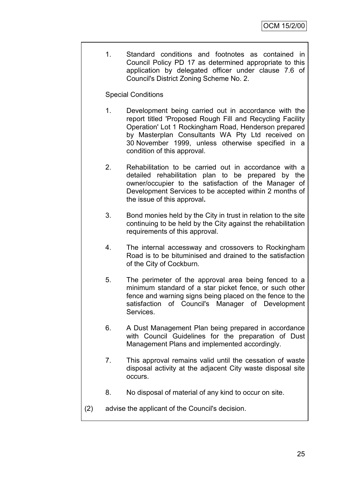1. Standard conditions and footnotes as contained in Council Policy PD 17 as determined appropriate to this application by delegated officer under clause 7.6 of Council's District Zoning Scheme No. 2.

### Special Conditions

- 1. Development being carried out in accordance with the report titled 'Proposed Rough Fill and Recycling Facility Operation' Lot 1 Rockingham Road, Henderson prepared by Masterplan Consultants WA Pty Ltd received on 30 November 1999, unless otherwise specified in a condition of this approval.
- 2. Rehabilitation to be carried out in accordance with a detailed rehabilitation plan to be prepared by the owner/occupier to the satisfaction of the Manager of Development Services to be accepted within 2 months of the issue of this approval**.**
- 3. Bond monies held by the City in trust in relation to the site continuing to be held by the City against the rehabilitation requirements of this approval.
- 4. The internal accessway and crossovers to Rockingham Road is to be bituminised and drained to the satisfaction of the City of Cockburn.
- 5. The perimeter of the approval area being fenced to a minimum standard of a star picket fence, or such other fence and warning signs being placed on the fence to the satisfaction of Council's Manager of Development Services.
- 6. A Dust Management Plan being prepared in accordance with Council Guidelines for the preparation of Dust Management Plans and implemented accordingly.
- 7. This approval remains valid until the cessation of waste disposal activity at the adjacent City waste disposal site occurs.
- 8. No disposal of material of any kind to occur on site.
- (2) advise the applicant of the Council's decision.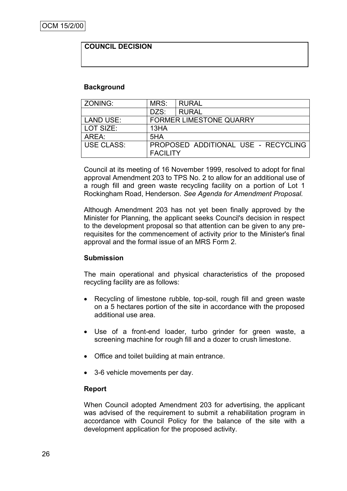### **COUNCIL DECISION**

#### **Background**

| ZONING:          | MRS:            | <b>RURAL</b>                        |  |  |
|------------------|-----------------|-------------------------------------|--|--|
|                  | DZS:            | <b>RURAL</b>                        |  |  |
| <b>LAND USE:</b> |                 | <b>FORMER LIMESTONE QUARRY</b>      |  |  |
| LOT SIZE:        | 13HA            |                                     |  |  |
| AREA:            | 5HA             |                                     |  |  |
| USE CLASS:       | <b>FACILITY</b> | PROPOSED ADDITIONAL USE - RECYCLING |  |  |

Council at its meeting of 16 November 1999, resolved to adopt for final approval Amendment 203 to TPS No. 2 to allow for an additional use of a rough fill and green waste recycling facility on a portion of Lot 1 Rockingham Road, Henderson. *See Agenda for Amendment Proposal.*

Although Amendment 203 has not yet been finally approved by the Minister for Planning, the applicant seeks Council's decision in respect to the development proposal so that attention can be given to any prerequisites for the commencement of activity prior to the Minister's final approval and the formal issue of an MRS Form 2.

#### **Submission**

The main operational and physical characteristics of the proposed recycling facility are as follows:

- Recycling of limestone rubble, top-soil, rough fill and green waste on a 5 hectares portion of the site in accordance with the proposed additional use area.
- Use of a front-end loader, turbo grinder for green waste, a screening machine for rough fill and a dozer to crush limestone.
- Office and toilet building at main entrance.
- 3-6 vehicle movements per day.

### **Report**

When Council adopted Amendment 203 for advertising, the applicant was advised of the requirement to submit a rehabilitation program in accordance with Council Policy for the balance of the site with a development application for the proposed activity.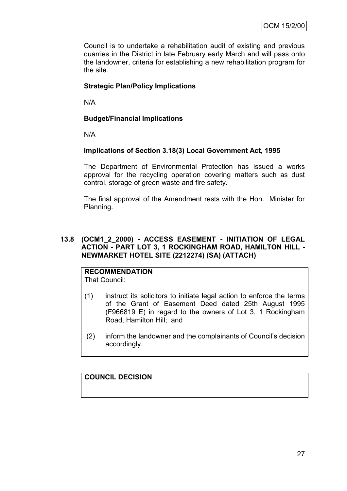Council is to undertake a rehabilitation audit of existing and previous quarries in the District in late February early March and will pass onto the landowner, criteria for establishing a new rehabilitation program for the site.

### **Strategic Plan/Policy Implications**

N/A

### **Budget/Financial Implications**

N/A

### **Implications of Section 3.18(3) Local Government Act, 1995**

The Department of Environmental Protection has issued a works approval for the recycling operation covering matters such as dust control, storage of green waste and fire safety.

The final approval of the Amendment rests with the Hon. Minister for Planning.

#### **13.8 (OCM1\_2\_2000) - ACCESS EASEMENT - INITIATION OF LEGAL ACTION - PART LOT 3, 1 ROCKINGHAM ROAD, HAMILTON HILL - NEWMARKET HOTEL SITE (2212274) (SA) (ATTACH)**

# **RECOMMENDATION**

That Council:

- (1) instruct its solicitors to initiate legal action to enforce the terms of the Grant of Easement Deed dated 25th August 1995 (F966819 E) in regard to the owners of Lot 3, 1 Rockingham Road, Hamilton Hill; and
- (2) inform the landowner and the complainants of Council"s decision accordingly.

# **COUNCIL DECISION**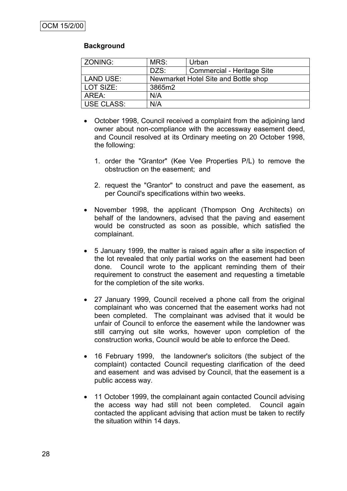### **Background**

| ZONING:    | MRS:                                 | Urban                      |  |
|------------|--------------------------------------|----------------------------|--|
|            | DZS:                                 | Commercial - Heritage Site |  |
| LAND USE:  | Newmarket Hotel Site and Bottle shop |                            |  |
| LOT SIZE:  | 3865m2                               |                            |  |
| AREA:      | N/A                                  |                            |  |
| USE CLASS: | N/A                                  |                            |  |

- October 1998, Council received a complaint from the adjoining land owner about non-compliance with the accessway easement deed, and Council resolved at its Ordinary meeting on 20 October 1998, the following:
	- 1. order the "Grantor" (Kee Vee Properties P/L) to remove the obstruction on the easement; and
	- 2. request the "Grantor" to construct and pave the easement, as per Council's specifications within two weeks.
- November 1998, the applicant (Thompson Ong Architects) on behalf of the landowners, advised that the paving and easement would be constructed as soon as possible, which satisfied the complainant.
- 5 January 1999, the matter is raised again after a site inspection of the lot revealed that only partial works on the easement had been done. Council wrote to the applicant reminding them of their requirement to construct the easement and requesting a timetable for the completion of the site works.
- 27 January 1999, Council received a phone call from the original complainant who was concerned that the easement works had not been completed. The complainant was advised that it would be unfair of Council to enforce the easement while the landowner was still carrying out site works, however upon completion of the construction works, Council would be able to enforce the Deed.
- 16 February 1999, the landowner's solicitors (the subject of the complaint) contacted Council requesting clarification of the deed and easement and was advised by Council, that the easement is a public access way.
- 11 October 1999, the complainant again contacted Council advising the access way had still not been completed. Council again contacted the applicant advising that action must be taken to rectify the situation within 14 days.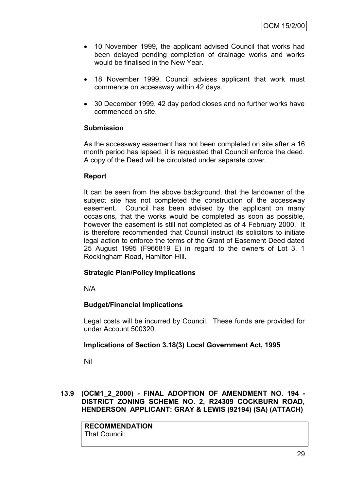- 10 November 1999, the applicant advised Council that works had been delayed pending completion of drainage works and works would be finalised in the New Year.
- 18 November 1999, Council advises applicant that work must commence on accessway within 42 days.
- 30 December 1999, 42 day period closes and no further works have commenced on site.

### **Submission**

As the accessway easement has not been completed on site after a 16 month period has lapsed, it is requested that Council enforce the deed. A copy of the Deed will be circulated under separate cover.

### **Report**

It can be seen from the above background, that the landowner of the subject site has not completed the construction of the accessway easement. Council has been advised by the applicant on many occasions, that the works would be completed as soon as possible, however the easement is still not completed as of 4 February 2000. It is therefore recommended that Council instruct its solicitors to initiate legal action to enforce the terms of the Grant of Easement Deed dated 25 August 1995 (F966819 E) in regard to the owners of Lot 3, 1 Rockingham Road, Hamilton Hill.

# **Strategic Plan/Policy Implications**

N/A

# **Budget/Financial Implications**

Legal costs will be incurred by Council. These funds are provided for under Account 500320.

# **Implications of Section 3.18(3) Local Government Act, 1995**

Nil

### **13.9 (OCM1\_2\_2000) - FINAL ADOPTION OF AMENDMENT NO. 194 - DISTRICT ZONING SCHEME NO. 2, R24309 COCKBURN ROAD, HENDERSON APPLICANT: GRAY & LEWIS (92194) (SA) (ATTACH)**

**RECOMMENDATION** That Council: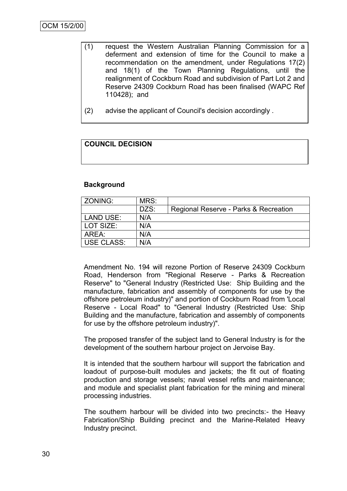- (1) request the Western Australian Planning Commission for a deferment and extension of time for the Council to make a recommendation on the amendment, under Regulations 17(2) and 18(1) of the Town Planning Regulations, until the realignment of Cockburn Road and subdivision of Part Lot 2 and Reserve 24309 Cockburn Road has been finalised (WAPC Ref 110428); and
- (2) advise the applicant of Council's decision accordingly .

# **COUNCIL DECISION**

### **Background**

| ZONING:           | MRS: |                                       |
|-------------------|------|---------------------------------------|
|                   | DZS: | Regional Reserve - Parks & Recreation |
| <b>LAND USE:</b>  | N/A  |                                       |
| LOT SIZE:         | N/A  |                                       |
| ARFA :            | N/A  |                                       |
| <b>USE CLASS:</b> | N/A  |                                       |
|                   |      |                                       |

Amendment No. 194 will rezone Portion of Reserve 24309 Cockburn Road, Henderson from "Regional Reserve - Parks & Recreation Reserve" to "General Industry (Restricted Use: Ship Building and the manufacture, fabrication and assembly of components for use by the offshore petroleum industry)" and portion of Cockburn Road from 'Local Reserve - Local Road" to "General Industry (Restricted Use: Ship Building and the manufacture, fabrication and assembly of components for use by the offshore petroleum industry)".

The proposed transfer of the subject land to General Industry is for the development of the southern harbour project on Jervoise Bay.

It is intended that the southern harbour will support the fabrication and loadout of purpose-built modules and jackets; the fit out of floating production and storage vessels; naval vessel refits and maintenance; and module and specialist plant fabrication for the mining and mineral processing industries.

The southern harbour will be divided into two precincts:- the Heavy Fabrication/Ship Building precinct and the Marine-Related Heavy Industry precinct.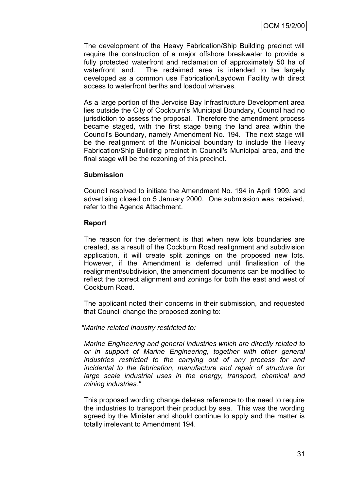The development of the Heavy Fabrication/Ship Building precinct will require the construction of a major offshore breakwater to provide a fully protected waterfront and reclamation of approximately 50 ha of waterfront land. The reclaimed area is intended to be largely developed as a common use Fabrication/Laydown Facility with direct access to waterfront berths and loadout wharves.

As a large portion of the Jervoise Bay Infrastructure Development area lies outside the City of Cockburn's Municipal Boundary, Council had no jurisdiction to assess the proposal. Therefore the amendment process became staged, with the first stage being the land area within the Council's Boundary, namely Amendment No. 194. The next stage will be the realignment of the Municipal boundary to include the Heavy Fabrication/Ship Building precinct in Council's Municipal area, and the final stage will be the rezoning of this precinct.

### **Submission**

Council resolved to initiate the Amendment No. 194 in April 1999, and advertising closed on 5 January 2000. One submission was received, refer to the Agenda Attachment.

#### **Report**

The reason for the deferment is that when new lots boundaries are created, as a result of the Cockburn Road realignment and subdivision application, it will create split zonings on the proposed new lots. However, if the Amendment is deferred until finalisation of the realignment/subdivision, the amendment documents can be modified to reflect the correct alignment and zonings for both the east and west of Cockburn Road.

The applicant noted their concerns in their submission, and requested that Council change the proposed zoning to:

*"Marine related Industry restricted to:*

*Marine Engineering and general industries which are directly related to or in support of Marine Engineering, together with other general industries restricted to the carrying out of any process for and incidental to the fabrication, manufacture and repair of structure for large scale industrial uses in the energy, transport, chemical and mining industries."*

This proposed wording change deletes reference to the need to require the industries to transport their product by sea. This was the wording agreed by the Minister and should continue to apply and the matter is totally irrelevant to Amendment 194.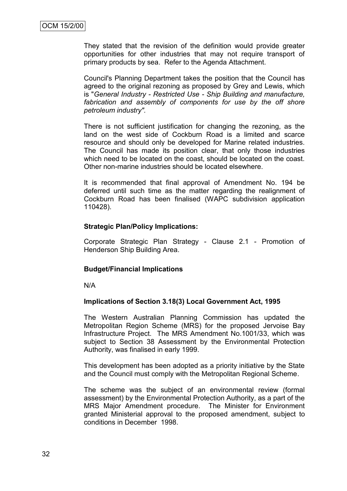They stated that the revision of the definition would provide greater opportunities for other industries that may not require transport of primary products by sea. Refer to the Agenda Attachment.

Council's Planning Department takes the position that the Council has agreed to the original rezoning as proposed by Grey and Lewis, which is "*General Industry - Restricted Use - Ship Building and manufacture, fabrication and assembly of components for use by the off shore petroleum industry".* 

There is not sufficient justification for changing the rezoning, as the land on the west side of Cockburn Road is a limited and scarce resource and should only be developed for Marine related industries. The Council has made its position clear, that only those industries which need to be located on the coast, should be located on the coast. Other non-marine industries should be located elsewhere.

It is recommended that final approval of Amendment No. 194 be deferred until such time as the matter regarding the realignment of Cockburn Road has been finalised (WAPC subdivision application 110428).

#### **Strategic Plan/Policy Implications:**

Corporate Strategic Plan Strategy - Clause 2.1 - Promotion of Henderson Ship Building Area.

#### **Budget/Financial Implications**

N/A

### **Implications of Section 3.18(3) Local Government Act, 1995**

The Western Australian Planning Commission has updated the Metropolitan Region Scheme (MRS) for the proposed Jervoise Bay Infrastructure Project. The MRS Amendment No.1001/33, which was subject to Section 38 Assessment by the Environmental Protection Authority, was finalised in early 1999.

This development has been adopted as a priority initiative by the State and the Council must comply with the Metropolitan Regional Scheme.

The scheme was the subject of an environmental review (formal assessment) by the Environmental Protection Authority, as a part of the MRS Major Amendment procedure. The Minister for Environment granted Ministerial approval to the proposed amendment, subject to conditions in December 1998.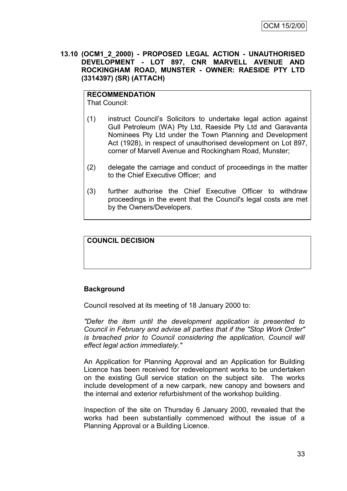**13.10 (OCM1\_2\_2000) - PROPOSED LEGAL ACTION - UNAUTHORISED DEVELOPMENT - LOT 897, CNR MARVELL AVENUE AND ROCKINGHAM ROAD, MUNSTER - OWNER: RAESIDE PTY LTD (3314397) (SR) (ATTACH)**

# **RECOMMENDATION**

That Council:

- (1) instruct Council"s Solicitors to undertake legal action against Gull Petroleum (WA) Pty Ltd, Raeside Pty Ltd and Garavanta Nominees Pty Ltd under the Town Planning and Development Act (1928), in respect of unauthorised development on Lot 897, corner of Marvell Avenue and Rockingham Road, Munster;
- (2) delegate the carriage and conduct of proceedings in the matter to the Chief Executive Officer; and
- (3) further authorise the Chief Executive Officer to withdraw proceedings in the event that the Council's legal costs are met by the Owners/Developers.

# **COUNCIL DECISION**

### **Background**

Council resolved at its meeting of 18 January 2000 to:

*"Defer the item until the development application is presented to Council in February and advise all parties that if the "Stop Work Order" is breached prior to Council considering the application, Council will effect legal action immediately."*

An Application for Planning Approval and an Application for Building Licence has been received for redevelopment works to be undertaken on the existing Gull service station on the subject site. The works include development of a new carpark, new canopy and bowsers and the internal and exterior refurbishment of the workshop building.

Inspection of the site on Thursday 6 January 2000, revealed that the works had been substantially commenced without the issue of a Planning Approval or a Building Licence.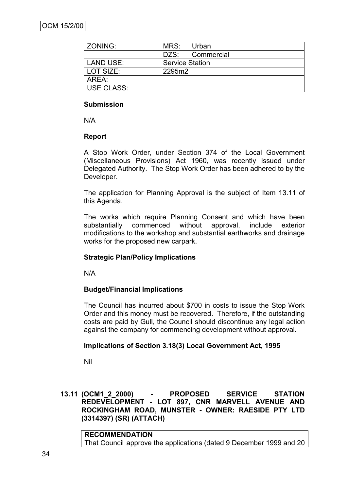| ZONING:           | MRS:                   | Urban      |
|-------------------|------------------------|------------|
|                   | DZS:                   | Commercial |
| <b>LAND USE:</b>  | <b>Service Station</b> |            |
| LOT SIZE:         | 2295m2                 |            |
| AREA:             |                        |            |
| <b>USE CLASS:</b> |                        |            |

### **Submission**

N/A

### **Report**

A Stop Work Order, under Section 374 of the Local Government (Miscellaneous Provisions) Act 1960, was recently issued under Delegated Authority. The Stop Work Order has been adhered to by the Developer.

The application for Planning Approval is the subject of Item 13.11 of this Agenda.

The works which require Planning Consent and which have been substantially commenced without approval, include exterior modifications to the workshop and substantial earthworks and drainage works for the proposed new carpark.

### **Strategic Plan/Policy Implications**

N/A

### **Budget/Financial Implications**

The Council has incurred about \$700 in costs to issue the Stop Work Order and this money must be recovered. Therefore, if the outstanding costs are paid by Gull, the Council should discontinue any legal action against the company for commencing development without approval.

### **Implications of Section 3.18(3) Local Government Act, 1995**

Nil

### **13.11 (OCM1\_2\_2000) - PROPOSED SERVICE STATION REDEVELOPMENT - LOT 897, CNR MARVELL AVENUE AND ROCKINGHAM ROAD, MUNSTER - OWNER: RAESIDE PTY LTD (3314397) (SR) (ATTACH)**

**RECOMMENDATION** That Council approve the applications (dated 9 December 1999 and 20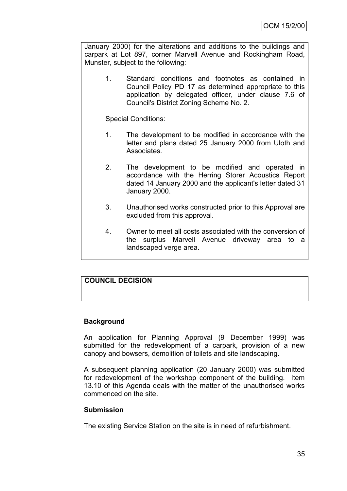January 2000) for the alterations and additions to the buildings and carpark at Lot 897, corner Marvell Avenue and Rockingham Road, Munster, subject to the following:

1. Standard conditions and footnotes as contained in Council Policy PD 17 as determined appropriate to this application by delegated officer, under clause 7.6 of Council's District Zoning Scheme No. 2.

Special Conditions:

- 1. The development to be modified in accordance with the letter and plans dated 25 January 2000 from Uloth and **Associates**
- 2. The development to be modified and operated in accordance with the Herring Storer Acoustics Report dated 14 January 2000 and the applicant's letter dated 31 January 2000.
- 3. Unauthorised works constructed prior to this Approval are excluded from this approval.
- 4. Owner to meet all costs associated with the conversion of the surplus Marvell Avenue driveway area to a landscaped verge area.

# **COUNCIL DECISION**

### **Background**

An application for Planning Approval (9 December 1999) was submitted for the redevelopment of a carpark, provision of a new canopy and bowsers, demolition of toilets and site landscaping.

A subsequent planning application (20 January 2000) was submitted for redevelopment of the workshop component of the building. Item 13.10 of this Agenda deals with the matter of the unauthorised works commenced on the site.

#### **Submission**

The existing Service Station on the site is in need of refurbishment.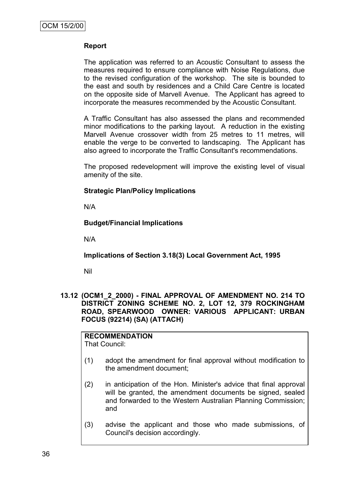### **Report**

The application was referred to an Acoustic Consultant to assess the measures required to ensure compliance with Noise Regulations, due to the revised configuration of the workshop. The site is bounded to the east and south by residences and a Child Care Centre is located on the opposite side of Marvell Avenue. The Applicant has agreed to incorporate the measures recommended by the Acoustic Consultant.

A Traffic Consultant has also assessed the plans and recommended minor modifications to the parking layout. A reduction in the existing Marvell Avenue crossover width from 25 metres to 11 metres, will enable the verge to be converted to landscaping. The Applicant has also agreed to incorporate the Traffic Consultant's recommendations.

The proposed redevelopment will improve the existing level of visual amenity of the site.

### **Strategic Plan/Policy Implications**

N/A

### **Budget/Financial Implications**

N/A

**Implications of Section 3.18(3) Local Government Act, 1995**

Nil

**13.12 (OCM1\_2\_2000) - FINAL APPROVAL OF AMENDMENT NO. 214 TO DISTRICT ZONING SCHEME NO. 2, LOT 12, 379 ROCKINGHAM ROAD, SPEARWOOD OWNER: VARIOUS APPLICANT: URBAN FOCUS (92214) (SA) (ATTACH)**

# **RECOMMENDATION**

That Council:

- (1) adopt the amendment for final approval without modification to the amendment document;
- (2) in anticipation of the Hon. Minister's advice that final approval will be granted, the amendment documents be signed, sealed and forwarded to the Western Australian Planning Commission; and
- (3) advise the applicant and those who made submissions, of Council's decision accordingly.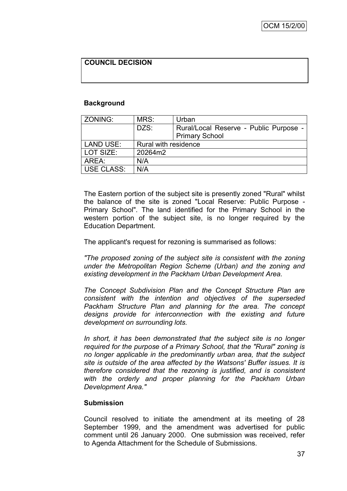### **COUNCIL DECISION**

#### **Background**

| ZONING:           | MRS:                 | Urban                                  |  |
|-------------------|----------------------|----------------------------------------|--|
|                   | DZS:                 | Rural/Local Reserve - Public Purpose - |  |
|                   |                      | <b>Primary School</b>                  |  |
| <b>LAND USE:</b>  | Rural with residence |                                        |  |
| LOT SIZE:         | 20264m2              |                                        |  |
| AREA:             | N/A                  |                                        |  |
| <b>USE CLASS:</b> | N/A                  |                                        |  |

The Eastern portion of the subject site is presently zoned "Rural" whilst the balance of the site is zoned "Local Reserve: Public Purpose - Primary School". The land identified for the Primary School in the western portion of the subject site, is no longer required by the Education Department.

The applicant's request for rezoning is summarised as follows:

*"The proposed zoning of the subject site is consistent with the zoning under the Metropolitan Region Scheme (Urban) and the zoning and existing development in the Packham Urban Development Area.*

*The Concept Subdivision Plan and the Concept Structure Plan are consistent with the intention and objectives of the superseded Packham Structure Plan and planning for the area. The concept designs provide for interconnection with the existing and future development on surrounding lots.*

*In short, it has been demonstrated that the subject site is no longer required for the purpose of a Primary School, that the "Rural" zoning is no longer applicable in the predominantly urban area, that the subject site is outside of the area affected by the Watsons' Buffer issues. It is therefore considered that the rezoning is justified, and is consistent with the orderly and proper planning for the Packham Urban Development Area."*

### **Submission**

Council resolved to initiate the amendment at its meeting of 28 September 1999, and the amendment was advertised for public comment until 26 January 2000. One submission was received, refer to Agenda Attachment for the Schedule of Submissions.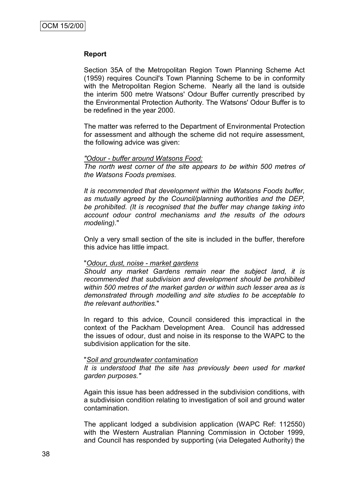#### **Report**

Section 35A of the Metropolitan Region Town Planning Scheme Act (1959) requires Council's Town Planning Scheme to be in conformity with the Metropolitan Region Scheme. Nearly all the land is outside the interim 500 metre Watsons' Odour Buffer currently prescribed by the Environmental Protection Authority. The Watsons' Odour Buffer is to be redefined in the year 2000.

The matter was referred to the Department of Environmental Protection for assessment and although the scheme did not require assessment, the following advice was given:

#### *"Odour - buffer around Watsons Food:*

*The north west corner of the site appears to be within 500 metres of the Watsons Foods premises.*

*It is recommended that development within the Watsons Foods buffer, as mutually agreed by the Council/planning authorities and the DEP, be prohibited. (It is recognised that the buffer may change taking into account odour control mechanisms and the results of the odours modeling).*"

Only a very small section of the site is included in the buffer, therefore this advice has little impact.

#### "*Odour, dust, noise - market gardens*

*Should any market Gardens remain near the subject land, it is recommended that subdivision and development should be prohibited within 500 metres of the market garden or within such lesser area as is demonstrated through modelling and site studies to be acceptable to the relevant authorities.*"

In regard to this advice, Council considered this impractical in the context of the Packham Development Area. Council has addressed the issues of odour, dust and noise in its response to the WAPC to the subdivision application for the site.

#### "*Soil and groundwater contamination*

*It is understood that the site has previously been used for market garden purposes."*

Again this issue has been addressed in the subdivision conditions, with a subdivision condition relating to investigation of soil and ground water contamination.

The applicant lodged a subdivision application (WAPC Ref: 112550) with the Western Australian Planning Commission in October 1999, and Council has responded by supporting (via Delegated Authority) the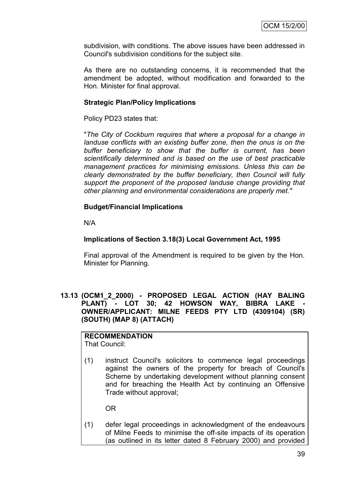subdivision, with conditions. The above issues have been addressed in Council's subdivision conditions for the subject site.

As there are no outstanding concerns, it is recommended that the amendment be adopted, without modification and forwarded to the Hon. Minister for final approval.

### **Strategic Plan/Policy Implications**

Policy PD23 states that:

"*The City of Cockburn requires that where a proposal for a change in landuse conflicts with an existing buffer zone, then the onus is on the buffer beneficiary to show that the buffer is current, has been scientifically determined and is based on the use of best practicable management practices for minimising emissions. Unless this can be clearly demonstrated by the buffer beneficiary, then Council will fully support the proponent of the proposed landuse change providing that other planning and environmental considerations are properly met."*

### **Budget/Financial Implications**

N/A

### **Implications of Section 3.18(3) Local Government Act, 1995**

Final approval of the Amendment is required to be given by the Hon. Minister for Planning.

### **13.13 (OCM1\_2\_2000) - PROPOSED LEGAL ACTION (HAY BALING**  PLANT) - LOT 30; 42 HOWSON WAY, BIBRA LAKE **OWNER/APPLICANT: MILNE FEEDS PTY LTD (4309104) (SR) (SOUTH) (MAP 8) (ATTACH)**

# **RECOMMENDATION**

That Council:

(1) instruct Council's solicitors to commence legal proceedings against the owners of the property for breach of Council's Scheme by undertaking development without planning consent and for breaching the Health Act by continuing an Offensive Trade without approval;

OR

(1) defer legal proceedings in acknowledgment of the endeavours of Milne Feeds to minimise the off-site impacts of its operation (as outlined in its letter dated 8 February 2000) and provided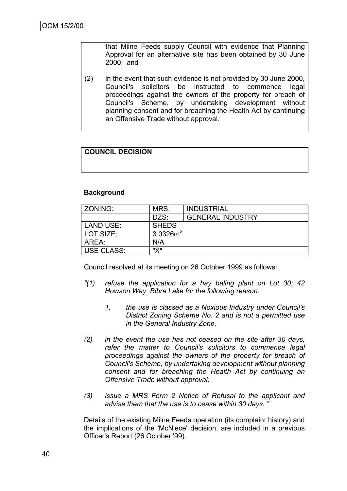that Milne Feeds supply Council with evidence that Planning Approval for an alternative site has been obtained by 30 June 2000; and

(2) in the event that such evidence is not provided by 30 June 2000, Council's solicitors be instructed to commence legal proceedings against the owners of the property for breach of Council's Scheme, by undertaking development without planning consent and for breaching the Health Act by continuing an Offensive Trade without approval.

# **COUNCIL DECISION**

### **Background**

| ZONING:           | MRS:                 | <b>INDUSTRIAL</b>       |
|-------------------|----------------------|-------------------------|
|                   | DZS:                 | <b>GENERAL INDUSTRY</b> |
| LAND USE:         | <b>SHEDS</b>         |                         |
| LOT SIZE:         | 3.0326m <sup>2</sup> |                         |
| ARFA:             | N/A                  |                         |
| <b>USE CLASS:</b> | $\mathbf{W}$         |                         |

Council resolved at its meeting on 26 October 1999 as follows:

- *"(1) refuse the application for a hay baling plant on Lot 30; 42 Howson Way, Bibra Lake for the following reason:*
	- *1. the use is classed as a Noxious Industry under Council's District Zoning Scheme No. 2 and is not a permitted use in the General Industry Zone.*
- *(2) in the event the use has not ceased on the site after 30 days, refer the matter to Council's solicitors to commence legal proceedings against the owners of the property for breach of Council's Scheme, by undertaking development without planning consent and for breaching the Health Act by continuing an Offensive Trade without approval;*
- *(3) issue a MRS Form 2 Notice of Refusal to the applicant and advise them that the use is to cease within 30 days. "*

Details of the existing Milne Feeds operation (its complaint history) and the implications of the 'McNiece' decision, are included in a previous Officer's Report (26 October '99).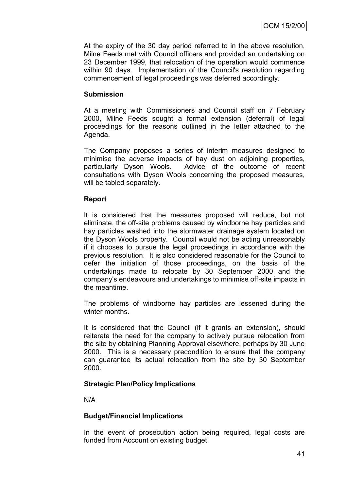At the expiry of the 30 day period referred to in the above resolution, Milne Feeds met with Council officers and provided an undertaking on 23 December 1999, that relocation of the operation would commence within 90 days. Implementation of the Council's resolution regarding commencement of legal proceedings was deferred accordingly.

### **Submission**

At a meeting with Commissioners and Council staff on 7 February 2000, Milne Feeds sought a formal extension (deferral) of legal proceedings for the reasons outlined in the letter attached to the Agenda.

The Company proposes a series of interim measures designed to minimise the adverse impacts of hay dust on adjoining properties, particularly Dyson Wools. Advice of the outcome of recent consultations with Dyson Wools concerning the proposed measures, will be tabled separately.

### **Report**

It is considered that the measures proposed will reduce, but not eliminate, the off-site problems caused by windborne hay particles and hay particles washed into the stormwater drainage system located on the Dyson Wools property. Council would not be acting unreasonably if it chooses to pursue the legal proceedings in accordance with the previous resolution. It is also considered reasonable for the Council to defer the initiation of those proceedings, on the basis of the undertakings made to relocate by 30 September 2000 and the company's endeavours and undertakings to minimise off-site impacts in the meantime.

The problems of windborne hay particles are lessened during the winter months.

It is considered that the Council (if it grants an extension), should reiterate the need for the company to actively pursue relocation from the site by obtaining Planning Approval elsewhere, perhaps by 30 June 2000. This is a necessary precondition to ensure that the company can guarantee its actual relocation from the site by 30 September 2000.

### **Strategic Plan/Policy Implications**

N/A

# **Budget/Financial Implications**

In the event of prosecution action being required, legal costs are funded from Account on existing budget.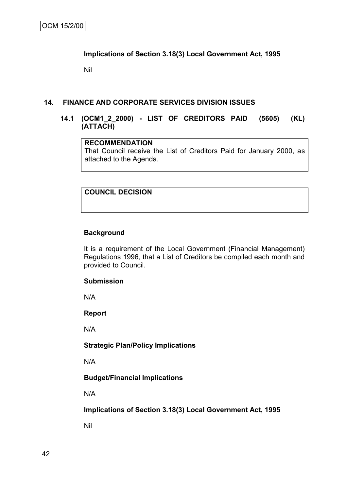### **Implications of Section 3.18(3) Local Government Act, 1995**

Nil

#### **14. FINANCE AND CORPORATE SERVICES DIVISION ISSUES**

### **14.1 (OCM1\_2\_2000) - LIST OF CREDITORS PAID (5605) (KL) (ATTACH)**

### **RECOMMENDATION** That Council receive the List of Creditors Paid for January 2000, as attached to the Agenda.

# **COUNCIL DECISION**

### **Background**

It is a requirement of the Local Government (Financial Management) Regulations 1996, that a List of Creditors be compiled each month and provided to Council.

### **Submission**

N/A

**Report**

N/A

### **Strategic Plan/Policy Implications**

N/A

### **Budget/Financial Implications**

N/A

### **Implications of Section 3.18(3) Local Government Act, 1995**

Nil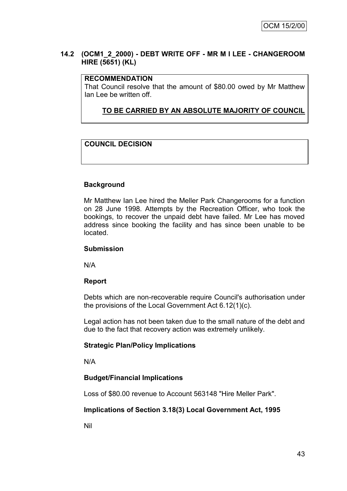### **14.2 (OCM1\_2\_2000) - DEBT WRITE OFF - MR M I LEE - CHANGEROOM HIRE (5651) (KL)**

### **RECOMMENDATION**

That Council resolve that the amount of \$80.00 owed by Mr Matthew Ian Lee be written off.

**TO BE CARRIED BY AN ABSOLUTE MAJORITY OF COUNCIL**

# **COUNCIL DECISION**

### **Background**

Mr Matthew Ian Lee hired the Meller Park Changerooms for a function on 28 June 1998. Attempts by the Recreation Officer, who took the bookings, to recover the unpaid debt have failed. Mr Lee has moved address since booking the facility and has since been unable to be located.

#### **Submission**

N/A

### **Report**

Debts which are non-recoverable require Council's authorisation under the provisions of the Local Government Act 6.12(1)(c).

Legal action has not been taken due to the small nature of the debt and due to the fact that recovery action was extremely unlikely.

### **Strategic Plan/Policy Implications**

N/A

### **Budget/Financial Implications**

Loss of \$80.00 revenue to Account 563148 "Hire Meller Park".

### **Implications of Section 3.18(3) Local Government Act, 1995**

Nil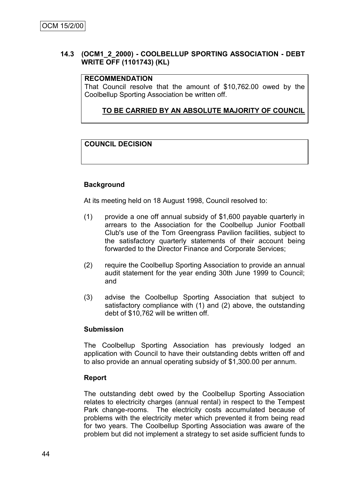### **14.3 (OCM1\_2\_2000) - COOLBELLUP SPORTING ASSOCIATION - DEBT WRITE OFF (1101743) (KL)**

### **RECOMMENDATION**

That Council resolve that the amount of \$10,762.00 owed by the Coolbellup Sporting Association be written off.

### **TO BE CARRIED BY AN ABSOLUTE MAJORITY OF COUNCIL**

### **COUNCIL DECISION**

### **Background**

At its meeting held on 18 August 1998, Council resolved to:

- (1) provide a one off annual subsidy of \$1,600 payable quarterly in arrears to the Association for the Coolbellup Junior Football Club's use of the Tom Greengrass Pavilion facilities, subject to the satisfactory quarterly statements of their account being forwarded to the Director Finance and Corporate Services;
- (2) require the Coolbellup Sporting Association to provide an annual audit statement for the year ending 30th June 1999 to Council; and
- (3) advise the Coolbellup Sporting Association that subject to satisfactory compliance with (1) and (2) above, the outstanding debt of \$10,762 will be written off.

#### **Submission**

The Coolbellup Sporting Association has previously lodged an application with Council to have their outstanding debts written off and to also provide an annual operating subsidy of \$1,300.00 per annum.

### **Report**

The outstanding debt owed by the Coolbellup Sporting Association relates to electricity charges (annual rental) in respect to the Tempest Park change-rooms. The electricity costs accumulated because of problems with the electricity meter which prevented it from being read for two years. The Coolbellup Sporting Association was aware of the problem but did not implement a strategy to set aside sufficient funds to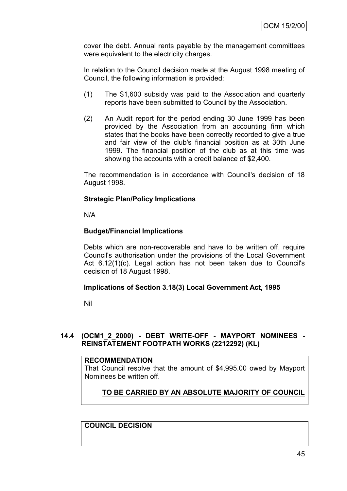cover the debt. Annual rents payable by the management committees were equivalent to the electricity charges.

In relation to the Council decision made at the August 1998 meeting of Council, the following information is provided:

- (1) The \$1,600 subsidy was paid to the Association and quarterly reports have been submitted to Council by the Association.
- (2) An Audit report for the period ending 30 June 1999 has been provided by the Association from an accounting firm which states that the books have been correctly recorded to give a true and fair view of the club's financial position as at 30th June 1999. The financial position of the club as at this time was showing the accounts with a credit balance of \$2,400.

The recommendation is in accordance with Council's decision of 18 August 1998.

### **Strategic Plan/Policy Implications**

N/A

### **Budget/Financial Implications**

Debts which are non-recoverable and have to be written off, require Council's authorisation under the provisions of the Local Government Act 6.12(1)(c). Legal action has not been taken due to Council's decision of 18 August 1998.

### **Implications of Section 3.18(3) Local Government Act, 1995**

Nil

# **14.4 (OCM1\_2\_2000) - DEBT WRITE-OFF - MAYPORT NOMINEES - REINSTATEMENT FOOTPATH WORKS (2212292) (KL)**

#### **RECOMMENDATION**

That Council resolve that the amount of \$4,995.00 owed by Mayport Nominees be written off.

# **TO BE CARRIED BY AN ABSOLUTE MAJORITY OF COUNCIL**

**COUNCIL DECISION**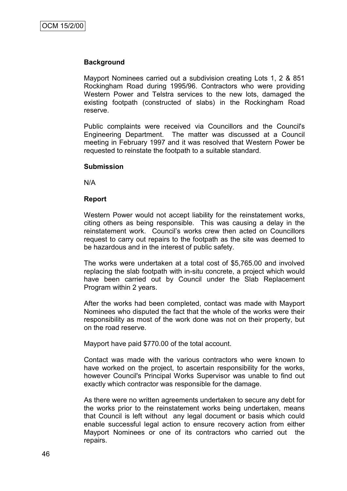#### **Background**

Mayport Nominees carried out a subdivision creating Lots 1, 2 & 851 Rockingham Road during 1995/96. Contractors who were providing Western Power and Telstra services to the new lots, damaged the existing footpath (constructed of slabs) in the Rockingham Road reserve.

Public complaints were received via Councillors and the Council's Engineering Department. The matter was discussed at a Council meeting in February 1997 and it was resolved that Western Power be requested to reinstate the footpath to a suitable standard.

#### **Submission**

N/A

#### **Report**

Western Power would not accept liability for the reinstatement works, citing others as being responsible. This was causing a delay in the reinstatement work. Council"s works crew then acted on Councillors request to carry out repairs to the footpath as the site was deemed to be hazardous and in the interest of public safety.

The works were undertaken at a total cost of \$5,765.00 and involved replacing the slab footpath with in-situ concrete, a project which would have been carried out by Council under the Slab Replacement Program within 2 years.

After the works had been completed, contact was made with Mayport Nominees who disputed the fact that the whole of the works were their responsibility as most of the work done was not on their property, but on the road reserve.

Mayport have paid \$770.00 of the total account.

Contact was made with the various contractors who were known to have worked on the project, to ascertain responsibility for the works, however Council's Principal Works Supervisor was unable to find out exactly which contractor was responsible for the damage.

As there were no written agreements undertaken to secure any debt for the works prior to the reinstatement works being undertaken, means that Council is left without any legal document or basis which could enable successful legal action to ensure recovery action from either Mayport Nominees or one of its contractors who carried out the repairs.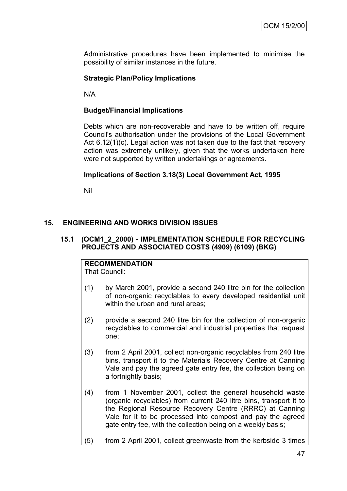Administrative procedures have been implemented to minimise the possibility of similar instances in the future.

### **Strategic Plan/Policy Implications**

N/A

### **Budget/Financial Implications**

Debts which are non-recoverable and have to be written off, require Council's authorisation under the provisions of the Local Government Act 6.12(1)(c). Legal action was not taken due to the fact that recovery action was extremely unlikely, given that the works undertaken here were not supported by written undertakings or agreements.

#### **Implications of Section 3.18(3) Local Government Act, 1995**

Nil

### **15. ENGINEERING AND WORKS DIVISION ISSUES**

### **15.1 (OCM1\_2\_2000) - IMPLEMENTATION SCHEDULE FOR RECYCLING PROJECTS AND ASSOCIATED COSTS (4909) (6109) (BKG)**

### **RECOMMENDATION**

That Council:

- (1) by March 2001, provide a second 240 litre bin for the collection of non-organic recyclables to every developed residential unit within the urban and rural areas;
- (2) provide a second 240 litre bin for the collection of non-organic recyclables to commercial and industrial properties that request one;
- (3) from 2 April 2001, collect non-organic recyclables from 240 litre bins, transport it to the Materials Recovery Centre at Canning Vale and pay the agreed gate entry fee, the collection being on a fortnightly basis;
- (4) from 1 November 2001, collect the general household waste (organic recyclables) from current 240 litre bins, transport it to the Regional Resource Recovery Centre (RRRC) at Canning Vale for it to be processed into compost and pay the agreed gate entry fee, with the collection being on a weekly basis;

#### (5) from 2 April 2001, collect greenwaste from the kerbside 3 times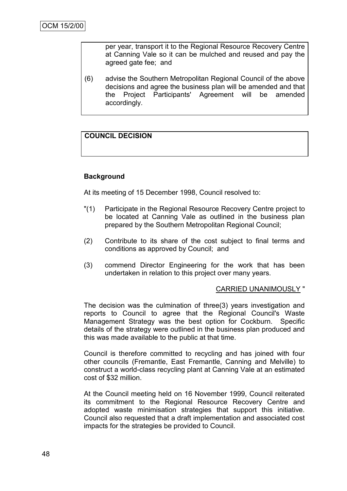per year, transport it to the Regional Resource Recovery Centre at Canning Vale so it can be mulched and reused and pay the agreed gate fee; and

(6) advise the Southern Metropolitan Regional Council of the above decisions and agree the business plan will be amended and that the Project Participants' Agreement will be amended accordingly.

### **COUNCIL DECISION**

### **Background**

At its meeting of 15 December 1998, Council resolved to:

- "(1) Participate in the Regional Resource Recovery Centre project to be located at Canning Vale as outlined in the business plan prepared by the Southern Metropolitan Regional Council;
- (2) Contribute to its share of the cost subject to final terms and conditions as approved by Council; and
- (3) commend Director Engineering for the work that has been undertaken in relation to this project over many years.

#### CARRIED UNANIMOUSLY "

The decision was the culmination of three(3) years investigation and reports to Council to agree that the Regional Council's Waste Management Strategy was the best option for Cockburn. Specific details of the strategy were outlined in the business plan produced and this was made available to the public at that time.

Council is therefore committed to recycling and has joined with four other councils (Fremantle, East Fremantle, Canning and Melville) to construct a world-class recycling plant at Canning Vale at an estimated cost of \$32 million.

At the Council meeting held on 16 November 1999, Council reiterated its commitment to the Regional Resource Recovery Centre and adopted waste minimisation strategies that support this initiative. Council also requested that a draft implementation and associated cost impacts for the strategies be provided to Council.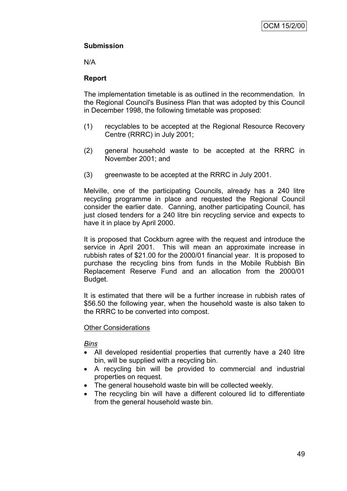# **Submission**

N/A

# **Report**

The implementation timetable is as outlined in the recommendation. In the Regional Council's Business Plan that was adopted by this Council in December 1998, the following timetable was proposed:

- (1) recyclables to be accepted at the Regional Resource Recovery Centre (RRRC) in July 2001;
- (2) general household waste to be accepted at the RRRC in November 2001; and
- (3) greenwaste to be accepted at the RRRC in July 2001.

Melville, one of the participating Councils, already has a 240 litre recycling programme in place and requested the Regional Council consider the earlier date. Canning, another participating Council, has just closed tenders for a 240 litre bin recycling service and expects to have it in place by April 2000.

It is proposed that Cockburn agree with the request and introduce the service in April 2001. This will mean an approximate increase in rubbish rates of \$21.00 for the 2000/01 financial year. It is proposed to purchase the recycling bins from funds in the Mobile Rubbish Bin Replacement Reserve Fund and an allocation from the 2000/01 Budget.

It is estimated that there will be a further increase in rubbish rates of \$56.50 the following year, when the household waste is also taken to the RRRC to be converted into compost.

### **Other Considerations**

### *Bins*

- All developed residential properties that currently have a 240 litre bin, will be supplied with a recycling bin.
- A recycling bin will be provided to commercial and industrial properties on request.
- The general household waste bin will be collected weekly.
- The recycling bin will have a different coloured lid to differentiate from the general household waste bin.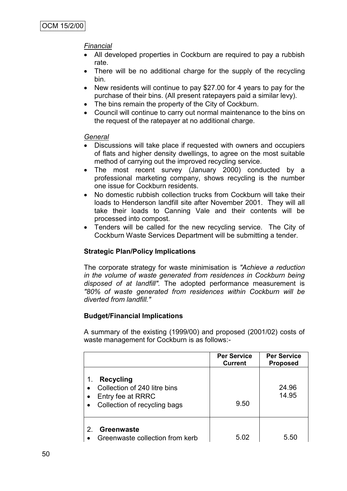# *Financial*

- All developed properties in Cockburn are required to pay a rubbish rate.
- There will be no additional charge for the supply of the recycling bin.
- New residents will continue to pay \$27.00 for 4 years to pay for the purchase of their bins. (All present ratepayers paid a similar levy).
- The bins remain the property of the City of Cockburn.
- Council will continue to carry out normal maintenance to the bins on the request of the ratepayer at no additional charge.

### *General*

- Discussions will take place if requested with owners and occupiers of flats and higher density dwellings, to agree on the most suitable method of carrying out the improved recycling service.
- The most recent survey (January 2000) conducted by a professional marketing company, shows recycling is the number one issue for Cockburn residents.
- No domestic rubbish collection trucks from Cockburn will take their loads to Henderson landfill site after November 2001. They will all take their loads to Canning Vale and their contents will be processed into compost.
- Tenders will be called for the new recycling service. The City of Cockburn Waste Services Department will be submitting a tender.

# **Strategic Plan/Policy Implications**

The corporate strategy for waste minimisation is *"Achieve a reduction in the volume of waste generated from residences in Cockburn being disposed of at landfill".* The adopted performance measurement is *"80% of waste generated from residences within Cockburn will be diverted from landfill."*

# **Budget/Financial Implications**

A summary of the existing (1999/00) and proposed (2001/02) costs of waste management for Cockburn is as follows:-

|                                                                                                             | <b>Per Service</b><br><b>Current</b> | <b>Per Service</b><br><b>Proposed</b> |
|-------------------------------------------------------------------------------------------------------------|--------------------------------------|---------------------------------------|
| <b>Recycling</b><br>1.<br>Collection of 240 litre bins<br>Entry fee at RRRC<br>Collection of recycling bags | 9.50                                 | 24.96<br>14.95                        |
| Greenwaste<br>Greenwaste collection from kerb                                                               | 5.02                                 | 5.50                                  |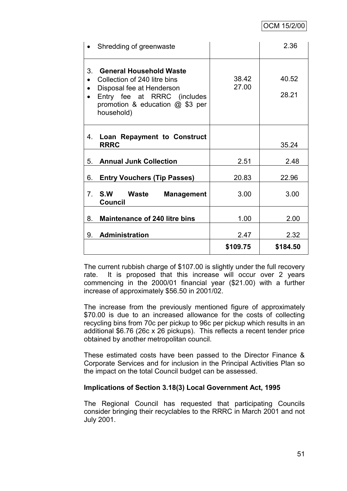|                        | Shredding of greenwaste                                                                                                                                                 |                | 2.36           |
|------------------------|-------------------------------------------------------------------------------------------------------------------------------------------------------------------------|----------------|----------------|
| $\bullet$<br>$\bullet$ | 3. General Household Waste<br>Collection of 240 litre bins<br>Disposal fee at Henderson<br>Entry fee at RRRC (includes<br>promotion & education @ \$3 per<br>household) | 38.42<br>27.00 | 40.52<br>28.21 |
| 4.                     | Loan Repayment to Construct<br><b>RRRC</b>                                                                                                                              |                | 35.24          |
| 5.                     | <b>Annual Junk Collection</b>                                                                                                                                           | 2.51           | 2.48           |
| 6.                     | <b>Entry Vouchers (Tip Passes)</b>                                                                                                                                      | 20.83          | 22.96          |
|                        | 7. S.W Waste<br><b>Management</b><br><b>Council</b>                                                                                                                     | 3.00           | 3.00           |
| 8.                     | <b>Maintenance of 240 litre bins</b>                                                                                                                                    | 1.00           | 2.00           |
| 9.                     | <b>Administration</b>                                                                                                                                                   | 2.47           | 2.32           |
|                        |                                                                                                                                                                         | \$109.75       | \$184.50       |

The current rubbish charge of \$107.00 is slightly under the full recovery rate. It is proposed that this increase will occur over 2 years commencing in the 2000/01 financial year (\$21.00) with a further increase of approximately \$56.50 in 2001/02.

The increase from the previously mentioned figure of approximately \$70.00 is due to an increased allowance for the costs of collecting recycling bins from 70c per pickup to 96c per pickup which results in an additional \$6.76 (26c x 26 pickups). This reflects a recent tender price obtained by another metropolitan council.

These estimated costs have been passed to the Director Finance & Corporate Services and for inclusion in the Principal Activities Plan so the impact on the total Council budget can be assessed.

### **Implications of Section 3.18(3) Local Government Act, 1995**

The Regional Council has requested that participating Councils consider bringing their recyclables to the RRRC in March 2001 and not July 2001.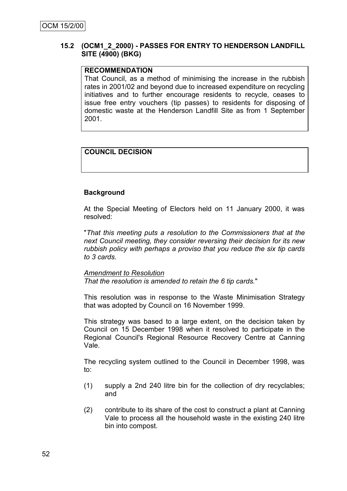### **15.2 (OCM1\_2\_2000) - PASSES FOR ENTRY TO HENDERSON LANDFILL SITE (4900) (BKG)**

### **RECOMMENDATION**

That Council, as a method of minimising the increase in the rubbish rates in 2001/02 and beyond due to increased expenditure on recycling initiatives and to further encourage residents to recycle, ceases to issue free entry vouchers (tip passes) to residents for disposing of domestic waste at the Henderson Landfill Site as from 1 September 2001.

# **COUNCIL DECISION**

### **Background**

At the Special Meeting of Electors held on 11 January 2000, it was resolved:

"*That this meeting puts a resolution to the Commissioners that at the next Council meeting, they consider reversing their decision for its new rubbish policy with perhaps a proviso that you reduce the six tip cards to 3 cards.* 

### *Amendment to Resolution*

*That the resolution is amended to retain the 6 tip cards.*"

This resolution was in response to the Waste Minimisation Strategy that was adopted by Council on 16 November 1999.

This strategy was based to a large extent, on the decision taken by Council on 15 December 1998 when it resolved to participate in the Regional Council's Regional Resource Recovery Centre at Canning Vale.

The recycling system outlined to the Council in December 1998, was to:

- (1) supply a 2nd 240 litre bin for the collection of dry recyclables; and
- (2) contribute to its share of the cost to construct a plant at Canning Vale to process all the household waste in the existing 240 litre bin into compost.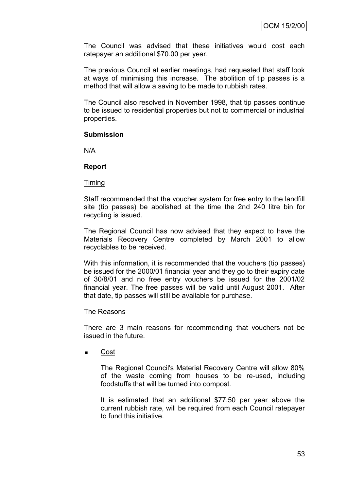The Council was advised that these initiatives would cost each ratepayer an additional \$70.00 per year.

The previous Council at earlier meetings, had requested that staff look at ways of minimising this increase. The abolition of tip passes is a method that will allow a saving to be made to rubbish rates.

The Council also resolved in November 1998, that tip passes continue to be issued to residential properties but not to commercial or industrial properties.

#### **Submission**

N/A

#### **Report**

#### Timing

Staff recommended that the voucher system for free entry to the landfill site (tip passes) be abolished at the time the 2nd 240 litre bin for recycling is issued.

The Regional Council has now advised that they expect to have the Materials Recovery Centre completed by March 2001 to allow recyclables to be received.

With this information, it is recommended that the vouchers (tip passes) be issued for the 2000/01 financial year and they go to their expiry date of 30/8/01 and no free entry vouchers be issued for the 2001/02 financial year. The free passes will be valid until August 2001. After that date, tip passes will still be available for purchase.

#### The Reasons

There are 3 main reasons for recommending that vouchers not be issued in the future.

■ Cost

The Regional Council's Material Recovery Centre will allow 80% of the waste coming from houses to be re-used, including foodstuffs that will be turned into compost.

It is estimated that an additional \$77.50 per year above the current rubbish rate, will be required from each Council ratepayer to fund this initiative.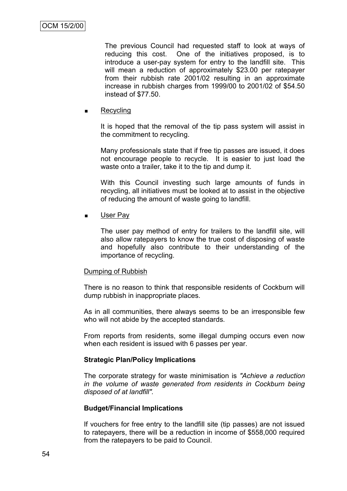The previous Council had requested staff to look at ways of reducing this cost. One of the initiatives proposed, is to introduce a user-pay system for entry to the landfill site. This will mean a reduction of approximately \$23.00 per ratepayer from their rubbish rate 2001/02 resulting in an approximate increase in rubbish charges from 1999/00 to 2001/02 of \$54.50 instead of \$77.50.

**Recycling** 

It is hoped that the removal of the tip pass system will assist in the commitment to recycling.

Many professionals state that if free tip passes are issued, it does not encourage people to recycle. It is easier to just load the waste onto a trailer, take it to the tip and dump it.

With this Council investing such large amounts of funds in recycling, all initiatives must be looked at to assist in the objective of reducing the amount of waste going to landfill.

**User Pay** 

The user pay method of entry for trailers to the landfill site, will also allow ratepayers to know the true cost of disposing of waste and hopefully also contribute to their understanding of the importance of recycling.

#### Dumping of Rubbish

There is no reason to think that responsible residents of Cockburn will dump rubbish in inappropriate places.

As in all communities, there always seems to be an irresponsible few who will not abide by the accepted standards.

From reports from residents, some illegal dumping occurs even now when each resident is issued with 6 passes per year.

### **Strategic Plan/Policy Implications**

The corporate strategy for waste minimisation is *"Achieve a reduction in the volume of waste generated from residents in Cockburn being disposed of at landfill".*

### **Budget/Financial Implications**

If vouchers for free entry to the landfill site (tip passes) are not issued to ratepayers, there will be a reduction in income of \$558,000 required from the ratepayers to be paid to Council.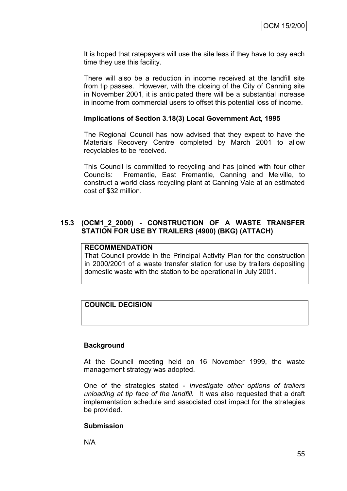It is hoped that ratepayers will use the site less if they have to pay each time they use this facility.

There will also be a reduction in income received at the landfill site from tip passes. However, with the closing of the City of Canning site in November 2001, it is anticipated there will be a substantial increase in income from commercial users to offset this potential loss of income.

#### **Implications of Section 3.18(3) Local Government Act, 1995**

The Regional Council has now advised that they expect to have the Materials Recovery Centre completed by March 2001 to allow recyclables to be received.

This Council is committed to recycling and has joined with four other Councils: Fremantle, East Fremantle, Canning and Melville, to construct a world class recycling plant at Canning Vale at an estimated cost of \$32 million.

### **15.3 (OCM1\_2\_2000) - CONSTRUCTION OF A WASTE TRANSFER STATION FOR USE BY TRAILERS (4900) (BKG) (ATTACH)**

#### **RECOMMENDATION**

That Council provide in the Principal Activity Plan for the construction in 2000/2001 of a waste transfer station for use by trailers depositing domestic waste with the station to be operational in July 2001.

# **COUNCIL DECISION**

### **Background**

At the Council meeting held on 16 November 1999, the waste management strategy was adopted.

One of the strategies stated - *Investigate other options of trailers unloading at tip face of the landfill.* It was also requested that a draft implementation schedule and associated cost impact for the strategies be provided.

#### **Submission**

N/A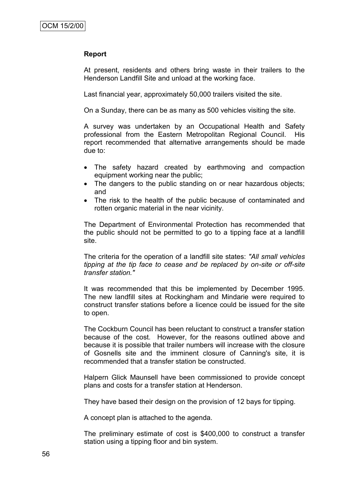#### **Report**

At present, residents and others bring waste in their trailers to the Henderson Landfill Site and unload at the working face.

Last financial year, approximately 50,000 trailers visited the site.

On a Sunday, there can be as many as 500 vehicles visiting the site.

A survey was undertaken by an Occupational Health and Safety professional from the Eastern Metropolitan Regional Council. His report recommended that alternative arrangements should be made due to:

- The safety hazard created by earthmoving and compaction equipment working near the public;
- The dangers to the public standing on or near hazardous objects; and
- The risk to the health of the public because of contaminated and rotten organic material in the near vicinity.

The Department of Environmental Protection has recommended that the public should not be permitted to go to a tipping face at a landfill site.

The criteria for the operation of a landfill site states: *"All small vehicles tipping at the tip face to cease and be replaced by on-site or off-site transfer station."*

It was recommended that this be implemented by December 1995. The new landfill sites at Rockingham and Mindarie were required to construct transfer stations before a licence could be issued for the site to open.

The Cockburn Council has been reluctant to construct a transfer station because of the cost. However, for the reasons outlined above and because it is possible that trailer numbers will increase with the closure of Gosnells site and the imminent closure of Canning's site, it is recommended that a transfer station be constructed.

Halpern Glick Maunsell have been commissioned to provide concept plans and costs for a transfer station at Henderson.

They have based their design on the provision of 12 bays for tipping.

A concept plan is attached to the agenda.

The preliminary estimate of cost is \$400,000 to construct a transfer station using a tipping floor and bin system.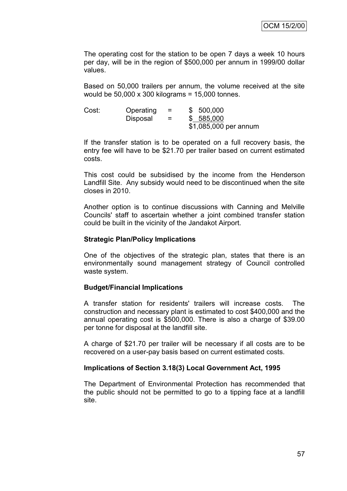The operating cost for the station to be open 7 days a week 10 hours per day, will be in the region of \$500,000 per annum in 1999/00 dollar values.

Based on 50,000 trailers per annum, the volume received at the site would be 50,000 x 300 kilograms = 15,000 tonnes.

| Cost: | Operating       | $=$ | \$500,000             |
|-------|-----------------|-----|-----------------------|
|       | <b>Disposal</b> | =   | \$585,000             |
|       |                 |     | \$1,085,000 per annum |

If the transfer station is to be operated on a full recovery basis, the entry fee will have to be \$21.70 per trailer based on current estimated costs.

This cost could be subsidised by the income from the Henderson Landfill Site. Any subsidy would need to be discontinued when the site closes in 2010.

Another option is to continue discussions with Canning and Melville Councils' staff to ascertain whether a joint combined transfer station could be built in the vicinity of the Jandakot Airport.

#### **Strategic Plan/Policy Implications**

One of the objectives of the strategic plan, states that there is an environmentally sound management strategy of Council controlled waste system.

#### **Budget/Financial Implications**

A transfer station for residents' trailers will increase costs. The construction and necessary plant is estimated to cost \$400,000 and the annual operating cost is \$500,000. There is also a charge of \$39.00 per tonne for disposal at the landfill site.

A charge of \$21.70 per trailer will be necessary if all costs are to be recovered on a user-pay basis based on current estimated costs.

### **Implications of Section 3.18(3) Local Government Act, 1995**

The Department of Environmental Protection has recommended that the public should not be permitted to go to a tipping face at a landfill site.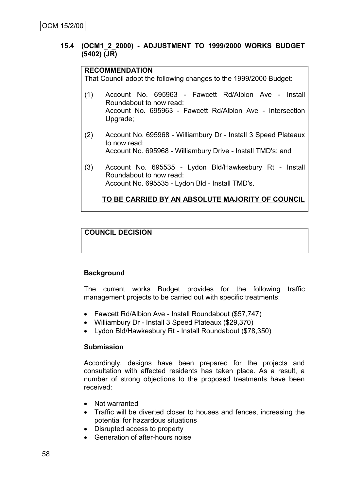### **15.4 (OCM1\_2\_2000) - ADJUSTMENT TO 1999/2000 WORKS BUDGET (5402) (JR)**

#### **RECOMMENDATION**

That Council adopt the following changes to the 1999/2000 Budget:

- (1) Account No. 695963 Fawcett Rd/Albion Ave Install Roundabout to now read: Account No. 695963 - Fawcett Rd/Albion Ave - Intersection Upgrade;
- (2) Account No. 695968 Williambury Dr Install 3 Speed Plateaux to now read: Account No. 695968 - Williambury Drive - Install TMD's; and
- (3) Account No. 695535 Lydon Bld/Hawkesbury Rt Install Roundabout to now read: Account No. 695535 - Lydon Bld - Install TMD's.

# **TO BE CARRIED BY AN ABSOLUTE MAJORITY OF COUNCIL**

# **COUNCIL DECISION**

# **Background**

The current works Budget provides for the following traffic management projects to be carried out with specific treatments:

- Fawcett Rd/Albion Ave Install Roundabout (\$57,747)
- Williambury Dr Install 3 Speed Plateaux (\$29,370)
- Lydon Bld/Hawkesbury Rt Install Roundabout (\$78,350)

### **Submission**

Accordingly, designs have been prepared for the projects and consultation with affected residents has taken place. As a result, a number of strong objections to the proposed treatments have been received:

- Not warranted
- Traffic will be diverted closer to houses and fences, increasing the potential for hazardous situations
- Disrupted access to property
- Generation of after-hours noise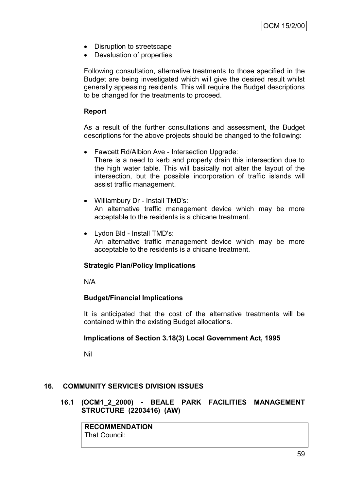- Disruption to streetscape
- Devaluation of properties

Following consultation, alternative treatments to those specified in the Budget are being investigated which will give the desired result whilst generally appeasing residents. This will require the Budget descriptions to be changed for the treatments to proceed.

# **Report**

As a result of the further consultations and assessment, the Budget descriptions for the above projects should be changed to the following:

- Fawcett Rd/Albion Ave Intersection Upgrade: There is a need to kerb and properly drain this intersection due to the high water table. This will basically not alter the layout of the intersection, but the possible incorporation of traffic islands will assist traffic management.
- Williambury Dr Install TMD's: An alternative traffic management device which may be more acceptable to the residents is a chicane treatment.
- Lydon Bld Install TMD's: An alternative traffic management device which may be more acceptable to the residents is a chicane treatment.

### **Strategic Plan/Policy Implications**

N/A

# **Budget/Financial Implications**

It is anticipated that the cost of the alternative treatments will be contained within the existing Budget allocations.

# **Implications of Section 3.18(3) Local Government Act, 1995**

Nil

# **16. COMMUNITY SERVICES DIVISION ISSUES**

### **16.1 (OCM1\_2\_2000) - BEALE PARK FACILITIES MANAGEMENT STRUCTURE (2203416) (AW)**

**RECOMMENDATION** That Council: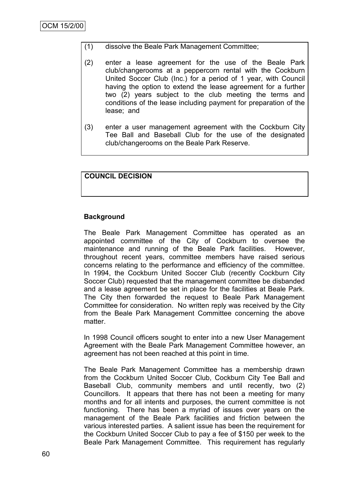- (1) dissolve the Beale Park Management Committee;
- (2) enter a lease agreement for the use of the Beale Park club/changerooms at a peppercorn rental with the Cockburn United Soccer Club (Inc.) for a period of 1 year, with Council having the option to extend the lease agreement for a further two (2) years subject to the club meeting the terms and conditions of the lease including payment for preparation of the lease; and
- (3) enter a user management agreement with the Cockburn City Tee Ball and Baseball Club for the use of the designated club/changerooms on the Beale Park Reserve.

### **COUNCIL DECISION**

### **Background**

The Beale Park Management Committee has operated as an appointed committee of the City of Cockburn to oversee the maintenance and running of the Beale Park facilities. However, throughout recent years, committee members have raised serious concerns relating to the performance and efficiency of the committee. In 1994, the Cockburn United Soccer Club (recently Cockburn City Soccer Club) requested that the management committee be disbanded and a lease agreement be set in place for the facilities at Beale Park. The City then forwarded the request to Beale Park Management Committee for consideration. No written reply was received by the City from the Beale Park Management Committee concerning the above matter.

In 1998 Council officers sought to enter into a new User Management Agreement with the Beale Park Management Committee however, an agreement has not been reached at this point in time.

The Beale Park Management Committee has a membership drawn from the Cockburn United Soccer Club, Cockburn City Tee Ball and Baseball Club, community members and until recently, two (2) Councillors. It appears that there has not been a meeting for many months and for all intents and purposes, the current committee is not functioning. There has been a myriad of issues over years on the management of the Beale Park facilities and friction between the various interested parties. A salient issue has been the requirement for the Cockburn United Soccer Club to pay a fee of \$150 per week to the Beale Park Management Committee. This requirement has regularly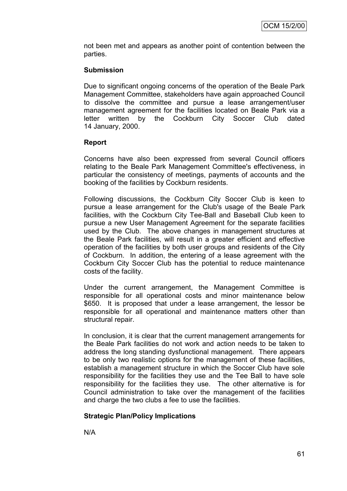not been met and appears as another point of contention between the parties.

### **Submission**

Due to significant ongoing concerns of the operation of the Beale Park Management Committee, stakeholders have again approached Council to dissolve the committee and pursue a lease arrangement/user management agreement for the facilities located on Beale Park via a letter written by the Cockburn City Soccer Club dated 14 January, 2000.

### **Report**

Concerns have also been expressed from several Council officers relating to the Beale Park Management Committee's effectiveness, in particular the consistency of meetings, payments of accounts and the booking of the facilities by Cockburn residents.

Following discussions, the Cockburn City Soccer Club is keen to pursue a lease arrangement for the Club's usage of the Beale Park facilities, with the Cockburn City Tee-Ball and Baseball Club keen to pursue a new User Management Agreement for the separate facilities used by the Club. The above changes in management structures at the Beale Park facilities, will result in a greater efficient and effective operation of the facilities by both user groups and residents of the City of Cockburn. In addition, the entering of a lease agreement with the Cockburn City Soccer Club has the potential to reduce maintenance costs of the facility.

Under the current arrangement, the Management Committee is responsible for all operational costs and minor maintenance below \$650. It is proposed that under a lease arrangement, the lessor be responsible for all operational and maintenance matters other than structural repair.

In conclusion, it is clear that the current management arrangements for the Beale Park facilities do not work and action needs to be taken to address the long standing dysfunctional management. There appears to be only two realistic options for the management of these facilities, establish a management structure in which the Soccer Club have sole responsibility for the facilities they use and the Tee Ball to have sole responsibility for the facilities they use. The other alternative is for Council administration to take over the management of the facilities and charge the two clubs a fee to use the facilities.

# **Strategic Plan/Policy Implications**

N/A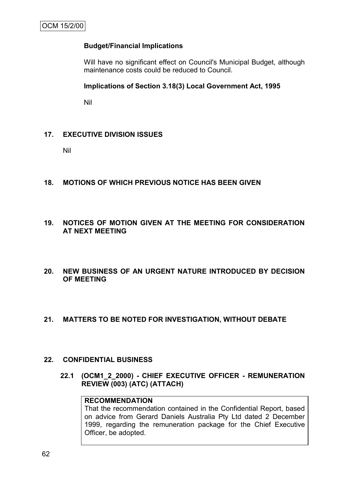# **Budget/Financial Implications**

Will have no significant effect on Council's Municipal Budget, although maintenance costs could be reduced to Council.

### **Implications of Section 3.18(3) Local Government Act, 1995**

Nil

### **17. EXECUTIVE DIVISION ISSUES**

Nil

- **18. MOTIONS OF WHICH PREVIOUS NOTICE HAS BEEN GIVEN**
- **19. NOTICES OF MOTION GIVEN AT THE MEETING FOR CONSIDERATION AT NEXT MEETING**
- **20. NEW BUSINESS OF AN URGENT NATURE INTRODUCED BY DECISION OF MEETING**

### **21. MATTERS TO BE NOTED FOR INVESTIGATION, WITHOUT DEBATE**

#### **22. CONFIDENTIAL BUSINESS**

**22.1 (OCM1\_2\_2000) - CHIEF EXECUTIVE OFFICER - REMUNERATION REVIEW (003) (ATC) (ATTACH)**

### **RECOMMENDATION**

That the recommendation contained in the Confidential Report, based on advice from Gerard Daniels Australia Pty Ltd dated 2 December 1999, regarding the remuneration package for the Chief Executive Officer, be adopted.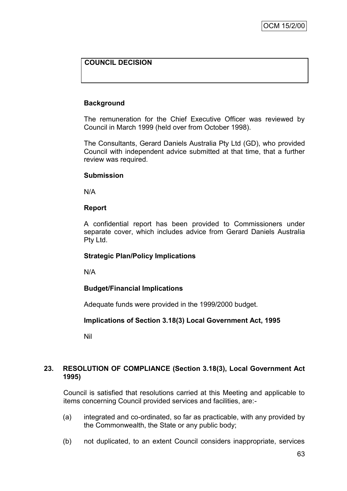# **COUNCIL DECISION**

### **Background**

The remuneration for the Chief Executive Officer was reviewed by Council in March 1999 (held over from October 1998).

The Consultants, Gerard Daniels Australia Pty Ltd (GD), who provided Council with independent advice submitted at that time, that a further review was required.

### **Submission**

N/A

### **Report**

A confidential report has been provided to Commissioners under separate cover, which includes advice from Gerard Daniels Australia Pty Ltd.

### **Strategic Plan/Policy Implications**

N/A

### **Budget/Financial Implications**

Adequate funds were provided in the 1999/2000 budget.

### **Implications of Section 3.18(3) Local Government Act, 1995**

Nil

### **23. RESOLUTION OF COMPLIANCE (Section 3.18(3), Local Government Act 1995)**

Council is satisfied that resolutions carried at this Meeting and applicable to items concerning Council provided services and facilities, are:-

- (a) integrated and co-ordinated, so far as practicable, with any provided by the Commonwealth, the State or any public body;
- (b) not duplicated, to an extent Council considers inappropriate, services